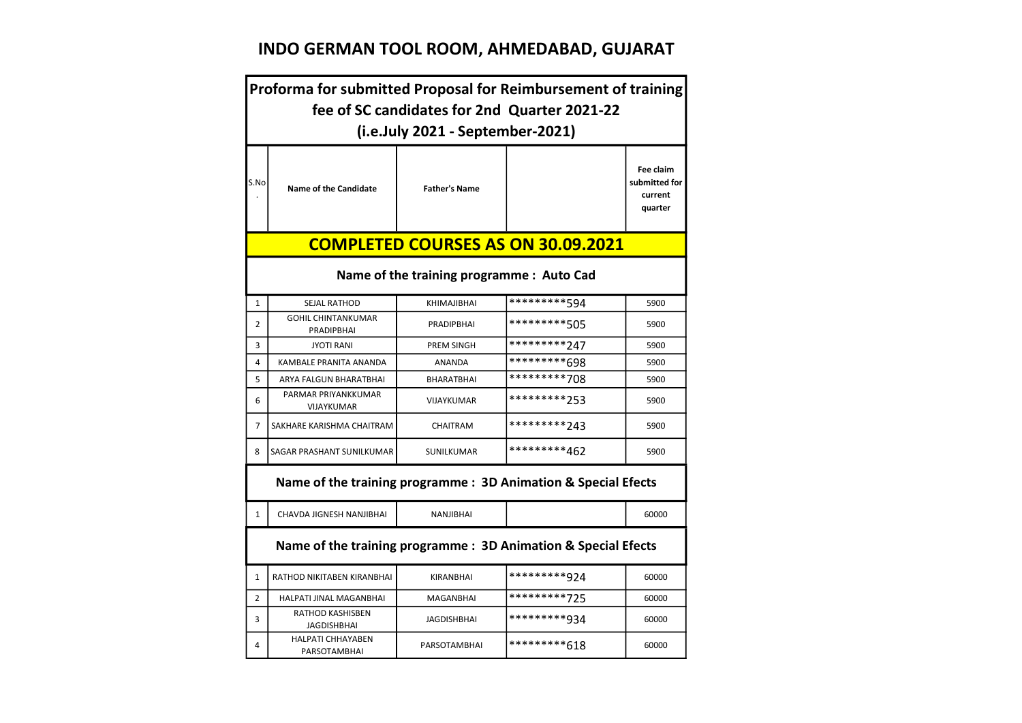# INDO GERMAN TOOL ROOM, AHMEDABAD, GUJARAT

|                | Proforma for submitted Proposal for Reimbursement of training                    |                      |                                           |                                                  |  |  |
|----------------|----------------------------------------------------------------------------------|----------------------|-------------------------------------------|--------------------------------------------------|--|--|
|                | fee of SC candidates for 2nd Quarter 2021-22<br>(i.e.July 2021 - September-2021) |                      |                                           |                                                  |  |  |
| S.No           | <b>Name of the Candidate</b>                                                     | <b>Father's Name</b> |                                           | Fee claim<br>submitted for<br>current<br>quarter |  |  |
|                |                                                                                  |                      | <b>COMPLETED COURSES AS ON 30.09.2021</b> |                                                  |  |  |
|                | Name of the training programme : Auto Cad                                        |                      |                                           |                                                  |  |  |
| $\mathbf{1}$   | SEJAL RATHOD                                                                     | <b>KHIMAJIBHAI</b>   | *********594                              | 5900                                             |  |  |
| $\overline{2}$ | <b>GOHIL CHINTANKUMAR</b><br>PRADIPBHAI                                          | <b>PRADIPBHAI</b>    | *********505                              | 5900                                             |  |  |
| 3              | <b>JYOTI RANI</b>                                                                | <b>PREM SINGH</b>    | *********247                              | 5900                                             |  |  |
| 4              | <b>KAMBALE PRANITA ANANDA</b>                                                    | <b>ANANDA</b>        | *********698                              | 5900                                             |  |  |
| 5              | ARYA FALGUN BHARATBHAI                                                           | <b>BHARATBHAI</b>    | *********708                              | 5900                                             |  |  |
| 6              | PARMAR PRIYANKKUMAR<br>VIJAYKUMAR                                                | VIJAYKUMAR           | *********253                              | 5900                                             |  |  |
| 7              | SAKHARE KARISHMA CHAITRAM                                                        | <b>CHAITRAM</b>      | *********243                              | 5900                                             |  |  |
| 8              | SAGAR PRASHANT SUNILKUMAR                                                        | SUNILKUMAR           | *********462                              | 5900                                             |  |  |
|                | Name of the training programme: 3D Animation & Special Efects                    |                      |                                           |                                                  |  |  |
| $\mathbf{1}$   | CHAVDA JIGNESH NANJIBHAI                                                         | NANJIBHAI            |                                           | 60000                                            |  |  |
|                | Name of the training programme: 3D Animation & Special Efects                    |                      |                                           |                                                  |  |  |
| $\mathbf{1}$   | RATHOD NIKITABEN KIRANBHAI                                                       | KIRANBHAI            | *********924                              | 60000                                            |  |  |
| $\overline{2}$ | HALPATI JINAL MAGANBHAI                                                          | MAGANBHAI            | *********725                              | 60000                                            |  |  |
| 3              | RATHOD KASHISBEN<br><b>JAGDISHBHAI</b>                                           | <b>JAGDISHBHAI</b>   | *********934                              | 60000                                            |  |  |
| 4              | <b>HALPATI CHHAYABEN</b><br>PARSOTAMBHAI                                         | <b>PARSOTAMBHAI</b>  | *********618                              | 60000                                            |  |  |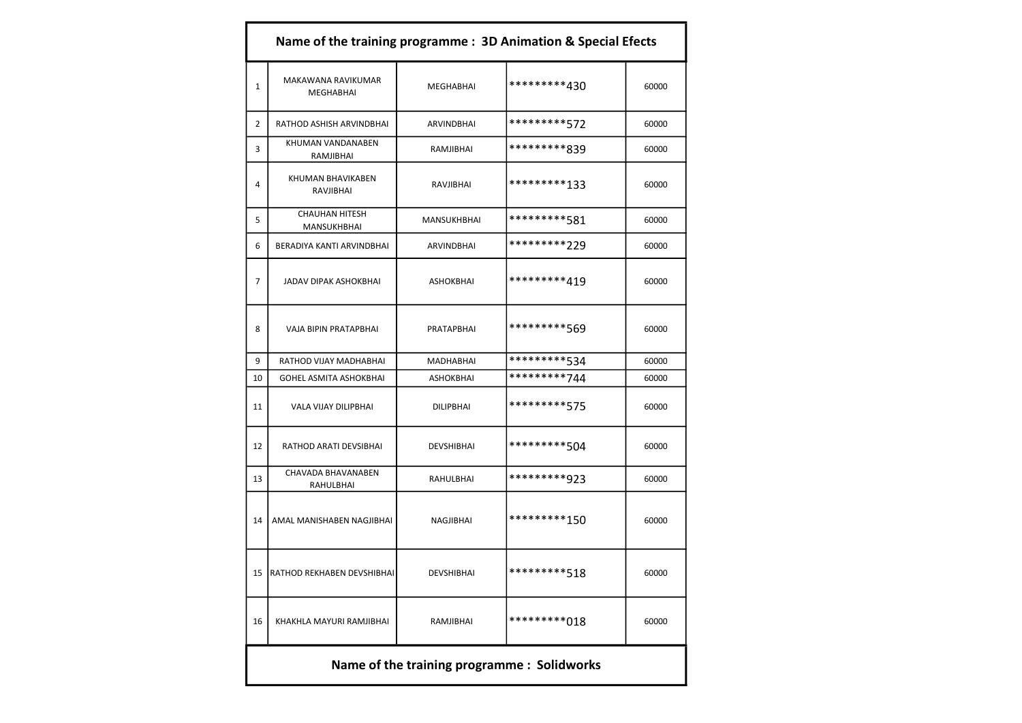|                | Name of the training programme : 3D Animation & Special Efects |                   |                                             |       |  |
|----------------|----------------------------------------------------------------|-------------------|---------------------------------------------|-------|--|
| $\mathbf{1}$   | MAKAWANA RAVIKUMAR<br><b>MEGHABHAI</b>                         | <b>MEGHABHAI</b>  | *********430                                | 60000 |  |
| 2              | RATHOD ASHISH ARVINDBHAI                                       | ARVINDBHAI        | *********572                                | 60000 |  |
| 3              | KHUMAN VANDANABEN<br>RAMJIBHAI                                 | RAMJIBHAI         | *********839                                | 60000 |  |
| 4              | KHUMAN BHAVIKABEN<br>RAVJIBHAI                                 | RAVJIBHAI         | *********133                                | 60000 |  |
| 5              | <b>CHAUHAN HITESH</b><br>MANSUKHBHAI                           | MANSUKHBHAI       | *********581                                | 60000 |  |
| 6              | BERADIYA KANTI ARVINDBHAI                                      | <b>ARVINDBHAI</b> | *********229                                | 60000 |  |
| $\overline{7}$ | <b>JADAV DIPAK ASHOKBHAI</b>                                   | <b>ASHOKBHAI</b>  | *********419                                | 60000 |  |
| 8              | VAJA BIPIN PRATAPBHAI                                          | PRATAPBHAI        | *********569                                | 60000 |  |
| 9              | RATHOD VIJAY MADHABHAI                                         | <b>MADHABHAI</b>  | *********534                                | 60000 |  |
| 10             | GOHEL ASMITA ASHOKBHAI                                         | <b>ASHOKBHAI</b>  | *********744                                | 60000 |  |
| 11             | VALA VIJAY DILIPBHAI                                           | <b>DILIPBHAI</b>  | *********575                                | 60000 |  |
| 12             | RATHOD ARATI DEVSIBHAI                                         | <b>DEVSHIBHAI</b> | *********504                                | 60000 |  |
| 13             | CHAVADA BHAVANABEN<br>RAHULBHAI                                | RAHULBHAI         | *********923                                | 60000 |  |
| 14             | AMAL MANISHABEN NAGJIBHAI                                      | NAGJIBHAI         | *********150                                | 60000 |  |
| 15             | RATHOD REKHABEN DEVSHIBHAI                                     | DEVSHIBHAI        | *********518                                | 60000 |  |
| 16             | KHAKHLA MAYURI RAMJIBHAI                                       | RAMJIBHAI         | *********018                                | 60000 |  |
|                |                                                                |                   | Name of the training programme : Solidworks |       |  |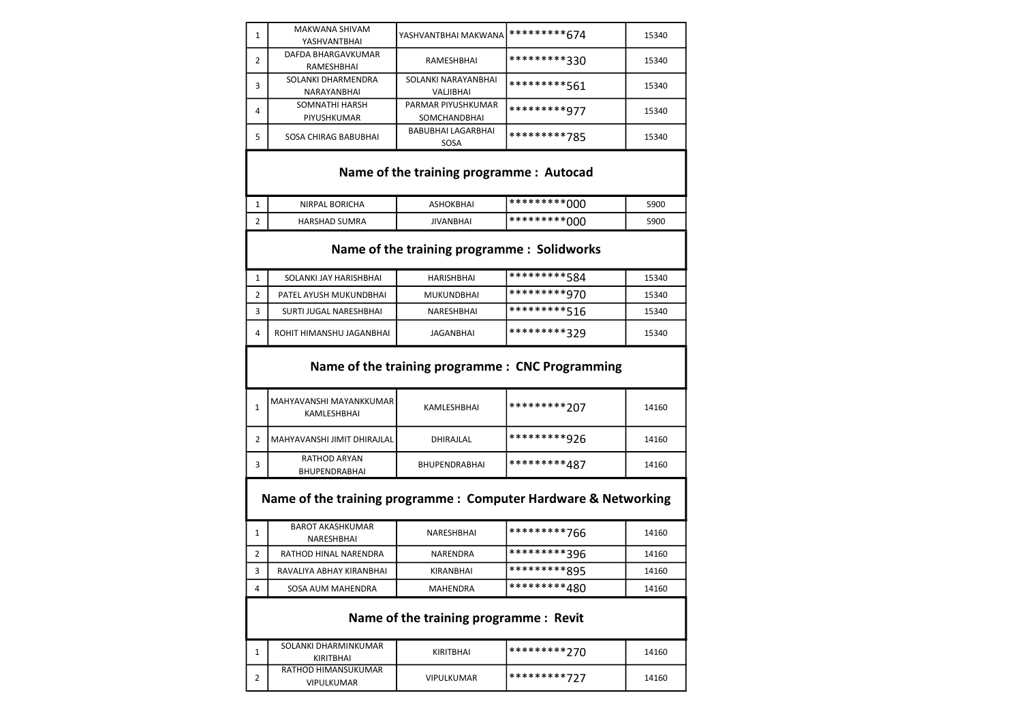| 1            | MAKWANA SHIVAM<br>YASHVANTBHAI                                 | YASHVANTBHAI MAKWANA                       | *********674                                     | 15340 |  |  |  |
|--------------|----------------------------------------------------------------|--------------------------------------------|--------------------------------------------------|-------|--|--|--|
| 2            | <b>DAFDA BHARGAVKUMAR</b><br>RAMESHBHAI                        | RAMESHBHAI                                 | *********330                                     | 15340 |  |  |  |
| 3            | SOLANKI DHARMENDRA<br>NARAYANBHAI                              | SOLANKI NARAYANBHAI<br><b>VALJIBHAI</b>    | *********561                                     | 15340 |  |  |  |
| 4            | SOMNATHI HARSH<br>PIYUSHKUMAR                                  | PARMAR PIYUSHKUMAR<br><b>SOMCHANDBHAI</b>  | *********977                                     | 15340 |  |  |  |
| 5            | SOSA CHIRAG BABUBHAI                                           | BABUBHAI LAGARBHAI<br>SOSA                 | *********785                                     | 15340 |  |  |  |
|              | Name of the training programme : Autocad                       |                                            |                                                  |       |  |  |  |
| 1            | NIRPAL BORICHA                                                 | <b>ASHOKBHAI</b>                           | **********000                                    | 5900  |  |  |  |
| 2            | <b>HARSHAD SUMRA</b>                                           | <b>JIVANBHAI</b>                           | *********000                                     | 5900  |  |  |  |
|              |                                                                | Name of the training programme: Solidworks |                                                  |       |  |  |  |
| 1            | SOLANKI JAY HARISHBHAI                                         | <b>HARISHBHAI</b>                          | *********584                                     | 15340 |  |  |  |
| 2            | PATEL AYUSH MUKUNDBHAI                                         | MUKUNDBHAI                                 | *********970                                     | 15340 |  |  |  |
| 3            | SURTI JUGAL NARESHBHAI                                         | <b>NARESHBHAI</b>                          | *********516                                     | 15340 |  |  |  |
| 4            | ROHIT HIMANSHU JAGANBHAI                                       | JAGANBHAI                                  | *********329                                     | 15340 |  |  |  |
|              |                                                                |                                            | Name of the training programme : CNC Programming |       |  |  |  |
| $\mathbf{1}$ | MAHYAVANSHI MAYANKKUMAR<br>KAMLESHBHAI                         | KAMLESHBHAI                                | *********207                                     | 14160 |  |  |  |
| 2            | MAHYAVANSHI JIMIT DHIRAJLAL                                    | DHIRAJLAL                                  | *********926                                     | 14160 |  |  |  |
| 3            | <b>RATHOD ARYAN</b><br><b>BHUPENDRABHAI</b>                    | BHUPENDRABHAI                              | *********487                                     | 14160 |  |  |  |
|              | Name of the training programme: Computer Hardware & Networking |                                            |                                                  |       |  |  |  |
|              |                                                                |                                            |                                                  |       |  |  |  |
| 1            | <b>BAROT AKASHKUMAR</b><br>NARESHBHAI                          | NARESHBHAI                                 | *********766                                     | 14160 |  |  |  |
| 2            | RATHOD HINAL NARENDRA                                          | NARENDRA                                   | *********396                                     | 14160 |  |  |  |
| 3            | RAVALIYA ABHAY KIRANBHAI                                       | KIRANBHAI                                  | *********895                                     | 14160 |  |  |  |
| 4            | SOSA AUM MAHENDRA                                              | MAHENDRA                                   | *********480                                     | 14160 |  |  |  |
|              |                                                                | Name of the training programme : Revit     |                                                  |       |  |  |  |
| 1            | SOLANKI DHARMINKUMAR<br>KIRITBHAI                              | <b>KIRITBHAI</b>                           | *********270                                     | 14160 |  |  |  |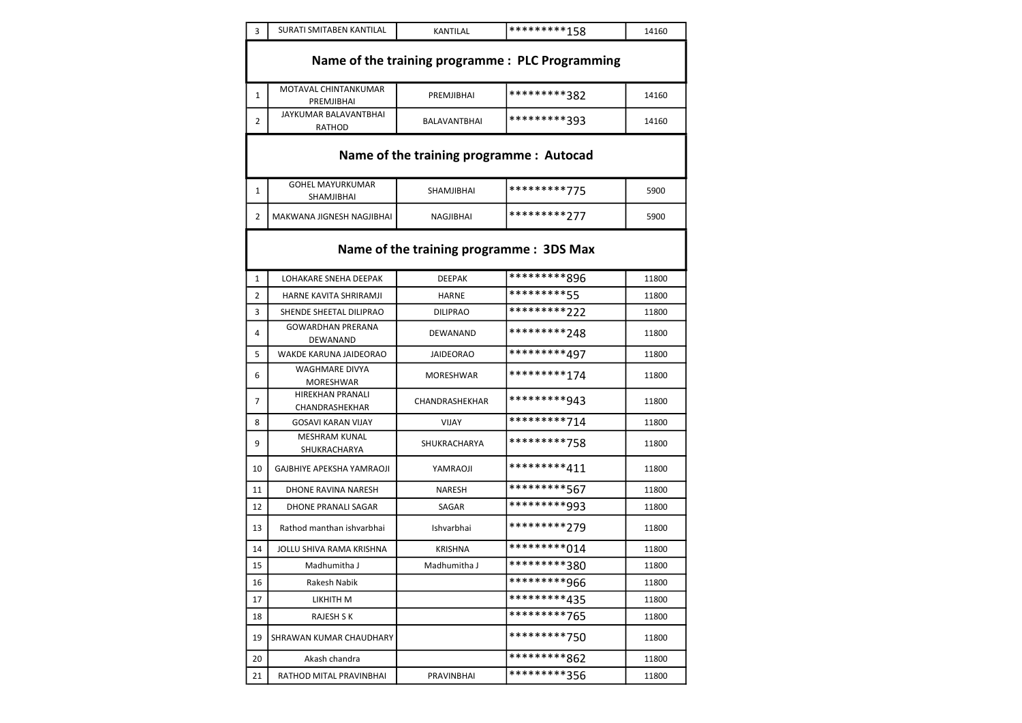| 3  | SURATI SMITABEN KANTILAL                         | <b>KANTILAL</b>  | *********158 | 14160 |  |  |
|----|--------------------------------------------------|------------------|--------------|-------|--|--|
|    | Name of the training programme : PLC Programming |                  |              |       |  |  |
| 1  | MOTAVAL CHINTANKUMAR<br>PREMJIBHAI               | PREMJIBHAI       | *********382 | 14160 |  |  |
| 2  | JAYKUMAR BALAVANTBHAI<br><b>RATHOD</b>           | BALAVANTBHAI     | *********393 | 14160 |  |  |
|    | Name of the training programme : Autocad         |                  |              |       |  |  |
| 1  | <b>GOHEL MAYURKUMAR</b><br>SHAMJIBHAI            | SHAMJIBHAI       | *********775 | 5900  |  |  |
| 2  | MAKWANA JIGNESH NAGJIBHAI                        | NAGJIBHAI        | *********277 | 5900  |  |  |
|    | Name of the training programme: 3DS Max          |                  |              |       |  |  |
| 1  | LOHAKARE SNEHA DEEPAK                            | <b>DEEPAK</b>    | *********896 | 11800 |  |  |
| 2  | HARNE KAVITA SHRIRAMJI                           | <b>HARNE</b>     | *********55  | 11800 |  |  |
| 3  | SHENDE SHEETAL DILIPRAO                          | <b>DILIPRAO</b>  | *********222 | 11800 |  |  |
| 4  | <b>GOWARDHAN PRERANA</b><br>DEWANAND             | DEWANAND         | *********248 | 11800 |  |  |
| 5  | WAKDE KARUNA JAIDEORAO                           | <b>JAIDEORAO</b> | *********497 | 11800 |  |  |
| 6  | <b>WAGHMARE DIVYA</b><br>MORESHWAR               | MORESHWAR        | *********174 | 11800 |  |  |
| 7  | <b>HIREKHAN PRANALI</b><br>CHANDRASHEKHAR        | CHANDRASHEKHAR   | *********943 | 11800 |  |  |
| 8  | <b>GOSAVI KARAN VIJAY</b>                        | <b>VIJAY</b>     | *********714 | 11800 |  |  |
| 9  | <b>MESHRAM KUNAL</b><br>SHUKRACHARYA             | SHUKRACHARYA     | *********758 | 11800 |  |  |
| 10 | GAJBHIYE APEKSHA YAMRAOJI                        | YAMRAOJI         | *********411 | 11800 |  |  |
| 11 | <b>DHONE RAVINA NARESH</b>                       | <b>NARESH</b>    | *********567 | 11800 |  |  |
| 12 | DHONE PRANALI SAGAR                              | SAGAR            | *********993 | 11800 |  |  |
| 13 | Rathod manthan ishvarbhai                        | Ishvarbhai       | *********279 | 11800 |  |  |
| 14 | JOLLU SHIVA RAMA KRISHNA                         | <b>KRISHNA</b>   | *********014 | 11800 |  |  |
| 15 | Madhumitha J                                     | Madhumitha J     | *********380 | 11800 |  |  |
| 16 | Rakesh Nabik                                     |                  | *********966 | 11800 |  |  |
| 17 | LIKHITH M                                        |                  | *********435 | 11800 |  |  |
| 18 | RAJESH S K                                       |                  | *********765 | 11800 |  |  |
| 19 | SHRAWAN KUMAR CHAUDHARY                          |                  | *********750 | 11800 |  |  |
| 20 | Akash chandra                                    |                  | *********862 | 11800 |  |  |
| 21 | RATHOD MITAL PRAVINBHAI                          | PRAVINBHAI       | *********356 | 11800 |  |  |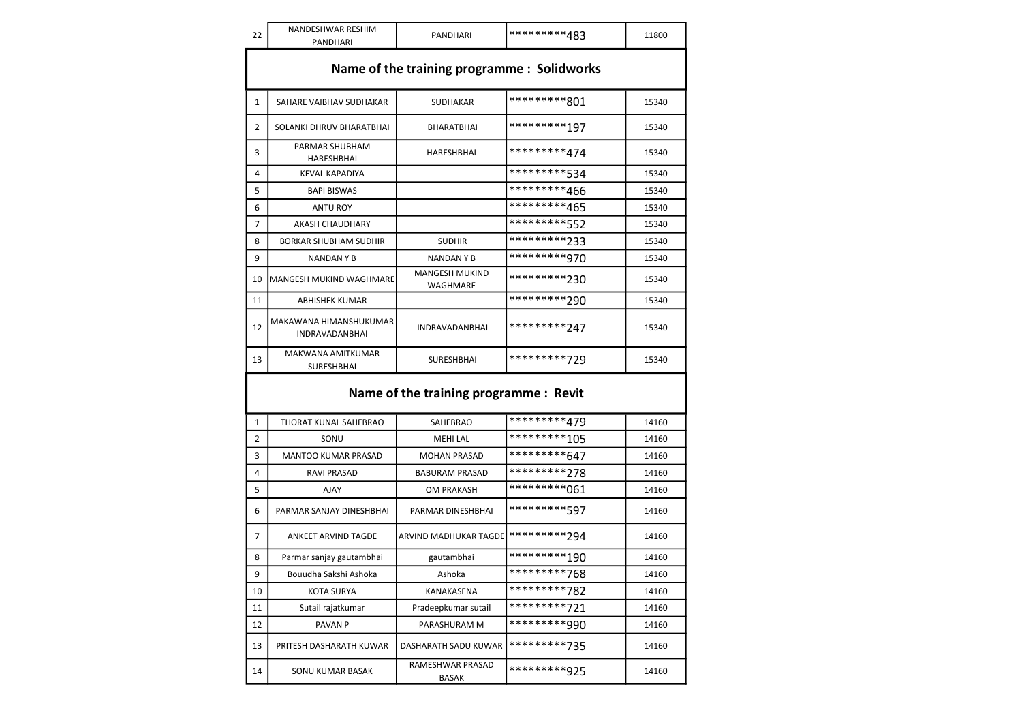| 22                                          | NANDESHWAR RESHIM                               | PANDHARI                               | *********483 | 11800 |  |
|---------------------------------------------|-------------------------------------------------|----------------------------------------|--------------|-------|--|
|                                             | PANDHARI                                        |                                        |              |       |  |
| Name of the training programme : Solidworks |                                                 |                                        |              |       |  |
| $\mathbf{1}$                                | SAHARE VAIBHAV SUDHAKAR                         | <b>SUDHAKAR</b>                        | *********801 | 15340 |  |
| 2                                           | SOLANKI DHRUV BHARATBHAI                        | BHARATBHAI                             | *********197 | 15340 |  |
| 3                                           | PARMAR SHUBHAM<br>HARESHBHAI                    | HARESHBHAI                             | *********474 | 15340 |  |
| 4                                           | KEVAL KAPADIYA                                  |                                        | *********534 | 15340 |  |
| 5                                           | <b>BAPI BISWAS</b>                              |                                        | *********466 | 15340 |  |
| 6                                           | <b>ANTU ROY</b>                                 |                                        | *********465 | 15340 |  |
| 7                                           | AKASH CHAUDHARY                                 |                                        | *********552 | 15340 |  |
| 8                                           | <b>BORKAR SHUBHAM SUDHIR</b>                    | <b>SUDHIR</b>                          | *********233 | 15340 |  |
| 9                                           | NANDAN Y B                                      | NANDAN Y B                             | *********970 | 15340 |  |
| 10                                          | <b>MANGESH MUKIND WAGHMARE</b>                  | <b>MANGESH MUKIND</b><br>WAGHMARE      | *********230 | 15340 |  |
| 11                                          | <b>ABHISHEK KUMAR</b>                           |                                        | *********290 | 15340 |  |
| 12                                          | MAKAWANA HIMANSHUKUMAR<br><b>INDRAVADANBHAI</b> | <b>INDRAVADANBHAI</b>                  | *********247 | 15340 |  |
| 13                                          | MAKWANA AMITKUMAR<br>SURESHBHAI                 | SURESHBHAI                             | *********729 | 15340 |  |
|                                             |                                                 | Name of the training programme : Revit |              |       |  |
| 1                                           | THORAT KUNAL SAHEBRAO                           | <b>SAHEBRAO</b>                        | *********479 | 14160 |  |
| 2                                           | SONU                                            | <b>MEHI LAL</b>                        | *********105 | 14160 |  |
| 3                                           | <b>MANTOO KUMAR PRASAD</b>                      | <b>MOHAN PRASAD</b>                    | *********647 | 14160 |  |
| 4                                           | <b>RAVI PRASAD</b>                              | <b>BABURAM PRASAD</b>                  | *********278 | 14160 |  |
| 5                                           | <b>AJAY</b>                                     | <b>OM PRAKASH</b>                      | *********061 | 14160 |  |
| 6                                           | PARMAR SANJAY DINESHBHAI                        | PARMAR DINESHBHAI                      | *********597 | 14160 |  |
| 7                                           | ANKEET ARVIND TAGDE                             | ARVIND MADHUKAR TAGDE                  | *********294 | 14160 |  |
| 8                                           | Parmar sanjay gautambhai                        | gautambhai                             | *********190 | 14160 |  |
| 9                                           | Bouudha Sakshi Ashoka                           | Ashoka                                 | *********768 | 14160 |  |
| 10                                          | KOTA SURYA                                      | KANAKASENA                             | *********782 | 14160 |  |
| 11                                          | Sutail rajatkumar                               | Pradeepkumar sutail                    | *********721 | 14160 |  |
| 12                                          | PAVAN <sub>P</sub>                              | PARASHURAM M                           | *********990 | 14160 |  |
| 13                                          | PRITESH DASHARATH KUWAR                         | DASHARATH SADU KUWAR                   | *********735 | 14160 |  |
| 14                                          | SONU KUMAR BASAK                                | RAMESHWAR PRASAD<br><b>BASAK</b>       | *********925 | 14160 |  |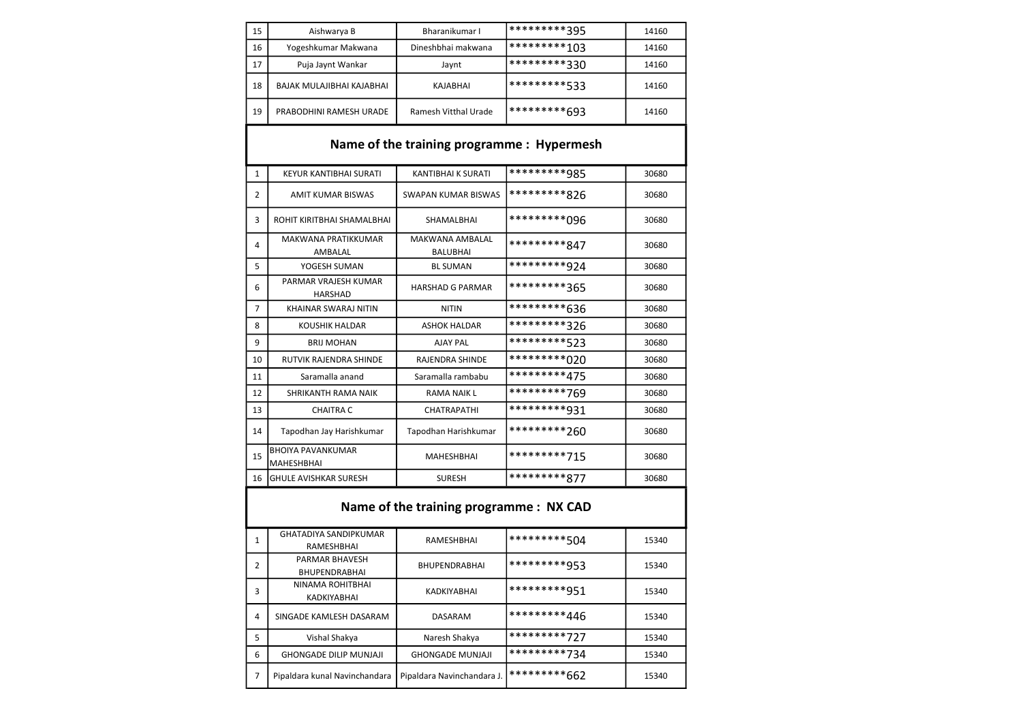| 15           | Aishwarya B                                | Bharanikumar I                            | *********395 | 14160 |
|--------------|--------------------------------------------|-------------------------------------------|--------------|-------|
| 16           | Yogeshkumar Makwana                        | Dineshbhai makwana                        | *********103 | 14160 |
| 17           | Puja Jaynt Wankar                          | Jaynt                                     | *********330 | 14160 |
| 18           | BAJAK MULAJIBHAI KAJABHAI                  | KAJABHAI                                  | *********533 | 14160 |
| 19           | PRABODHINI RAMESH URADE                    | Ramesh Vitthal Urade                      | *********693 | 14160 |
|              |                                            | Name of the training programme: Hypermesh |              |       |
| $\mathbf{1}$ | KEYUR KANTIBHAI SURATI                     | KANTIBHAI K SURATI                        | *********985 | 30680 |
| 2            | <b>AMIT KUMAR BISWAS</b>                   | <b>SWAPAN KUMAR BISWAS</b>                | *********826 | 30680 |
| 3            | ROHIT KIRITBHAI SHAMALBHAI                 | SHAMALBHAI                                | *********096 | 30680 |
| 4            | <b>MAKWANA PRATIKKUMAR</b><br>AMBALAL      | <b>MAKWANA AMBALAL</b><br><b>BALUBHAI</b> | *********847 | 30680 |
| 5            | YOGESH SUMAN                               | <b>BL SUMAN</b>                           | *********924 | 30680 |
| 6            | PARMAR VRAJESH KUMAR<br><b>HARSHAD</b>     | <b>HARSHAD G PARMAR</b>                   | *********365 | 30680 |
| 7            | KHAINAR SWARAJ NITIN                       | <b>NITIN</b>                              | *********636 | 30680 |
| 8            | <b>KOUSHIK HALDAR</b>                      | <b>ASHOK HALDAR</b>                       | *********326 | 30680 |
| 9            | <b>BRIJ MOHAN</b>                          | <b>AJAY PAL</b>                           | *********523 | 30680 |
| 10           | RUTVIK RAJENDRA SHINDE                     | <b>RAJENDRA SHINDE</b>                    | *********020 | 30680 |
| 11           | Saramalla anand                            | Saramalla rambabu                         | *********475 | 30680 |
| 12           | SHRIKANTH RAMA NAIK                        | <b>RAMA NAIK L</b>                        | *********769 | 30680 |
| 13           | <b>CHAITRA C</b>                           | CHATRAPATHI                               | *********931 | 30680 |
| 14           | Tapodhan Jay Harishkumar                   | Tapodhan Harishkumar                      | *********260 | 30680 |
| 15           | <b>BHOIYA PAVANKUMAR</b><br>MAHESHBHAI     | MAHESHBHAI                                | *********715 | 30680 |
| 16           | <b>GHULE AVISHKAR SURESH</b>               | <b>SURESH</b>                             | *********877 | 30680 |
|              |                                            | Name of the training programme : NX CAD   |              |       |
| 1            | <b>GHATADIYA SANDIPKUMAR</b><br>RAMESHBHAI | <b>RAMESHBHAI</b>                         | *********504 | 15340 |
| 2            | PARMAR BHAVESH<br>BHUPENDRABHAI            | BHUPENDRABHAI                             | *********953 | 15340 |
| 3            | NINAMA ROHITBHAI<br>KADKIYABHAI            | KADKIYABHAI                               | *********951 | 15340 |
| 4            | SINGADE KAMLESH DASARAM                    | DASARAM                                   | *********446 | 15340 |
| 5            | Vishal Shakya                              | Naresh Shakya                             | *********727 | 15340 |
| 6            | <b>GHONGADE DILIP MUNJAJI</b>              | <b>GHONGADE MUNJAJI</b>                   | *********734 | 15340 |
| 7            | Pipaldara kunal Navinchandara              | Pipaldara Navinchandara J.                | *********662 | 15340 |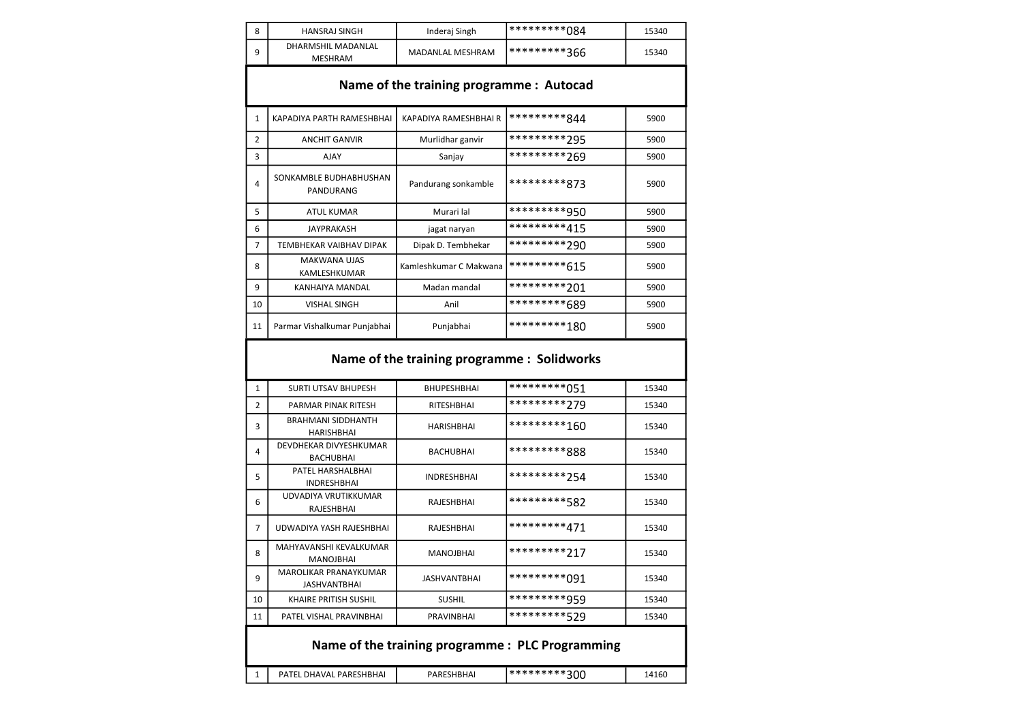| 8              | <b>HANSRAJ SINGH</b>                         | Inderaj Singh          | **********084                                    | 15340 |  |
|----------------|----------------------------------------------|------------------------|--------------------------------------------------|-------|--|
| 9              | DHARMSHIL MADANLAL<br><b>MESHRAM</b>         | MADANLAL MESHRAM       | *********366                                     | 15340 |  |
|                | Name of the training programme : Autocad     |                        |                                                  |       |  |
| 1              | KAPADIYA PARTH RAMESHBHAI                    | KAPADIYA RAMESHBHAI R  | *********844                                     | 5900  |  |
| 2              | <b>ANCHIT GANVIR</b>                         | Murlidhar ganvir       | *********295                                     | 5900  |  |
| 3              | <b>AJAY</b>                                  | Sanjay                 | *********269                                     | 5900  |  |
| 4              | SONKAMBLE BUDHABHUSHAN<br>PANDURANG          | Pandurang sonkamble    | *********873                                     | 5900  |  |
| 5              | <b>ATUL KUMAR</b>                            | Murari lal             | *********950                                     | 5900  |  |
| 6              | <b>JAYPRAKASH</b>                            | jagat naryan           | *********415                                     | 5900  |  |
| 7              | TEMBHEKAR VAIBHAV DIPAK                      | Dipak D. Tembhekar     | *********290                                     | 5900  |  |
| 8              | <b>MAKWANA UJAS</b><br>KAMLESHKUMAR          | Kamleshkumar C Makwana | *********615                                     | 5900  |  |
| 9              | KANHAIYA MANDAL                              | Madan mandal           | *********201                                     | 5900  |  |
| 10             | <b>VISHAL SINGH</b>                          | Anil                   | *********689                                     | 5900  |  |
| 11             | Parmar Vishalkumar Punjabhai                 | Punjabhai              | *********180                                     | 5900  |  |
|                | Name of the training programme: Solidworks   |                        |                                                  |       |  |
| 1              | <b>SURTI UTSAV BHUPESH</b>                   | <b>BHUPESHBHAI</b>     | *********051                                     | 15340 |  |
| $\overline{2}$ | PARMAR PINAK RITESH                          | RITESHBHAI             | *********279                                     | 15340 |  |
| 3              | <b>BRAHMANI SIDDHANTH</b><br>HARISHBHAI      | HARISHBHAI             | *********160                                     | 15340 |  |
| 4              | DEVDHEKAR DIVYESHKUMAR<br>BACHUBHAI          | <b>BACHUBHAI</b>       | *********888                                     | 15340 |  |
| 5              | PATEL HARSHALBHAI<br>INDRESHBHAI             | <b>INDRESHBHAI</b>     | *********254                                     | 15340 |  |
| 6              | UDVADIYA VRUTIKKUMAR<br>RAJESHBHAI           | RAJESHBHAI             | *********582                                     | 15340 |  |
| 7              | UDWADIYA YASH RAJESHBHAI                     | RAJESHBHAI             | *********471                                     | 15340 |  |
| 8              | MAHYAVANSHI KEVALKUMAR<br>MANOJBHAI          | MANOJBHAI              | *********217                                     | 15340 |  |
| 9              | MAROLIKAR PRANAYKUMAR<br><b>JASHVANTBHAI</b> | JASHVANTBHAI           | *********091                                     | 15340 |  |
| 10             | KHAIRE PRITISH SUSHIL                        | SUSHIL                 | *********959                                     | 15340 |  |
| 11             | PATEL VISHAL PRAVINBHAI                      | PRAVINBHAI             | *********529                                     | 15340 |  |
|                |                                              |                        | Name of the training programme : PLC Programming |       |  |
| 1              | PATEL DHAVAL PARESHBHAI                      | PARESHBHAI             | *********300                                     | 14160 |  |
|                |                                              |                        |                                                  |       |  |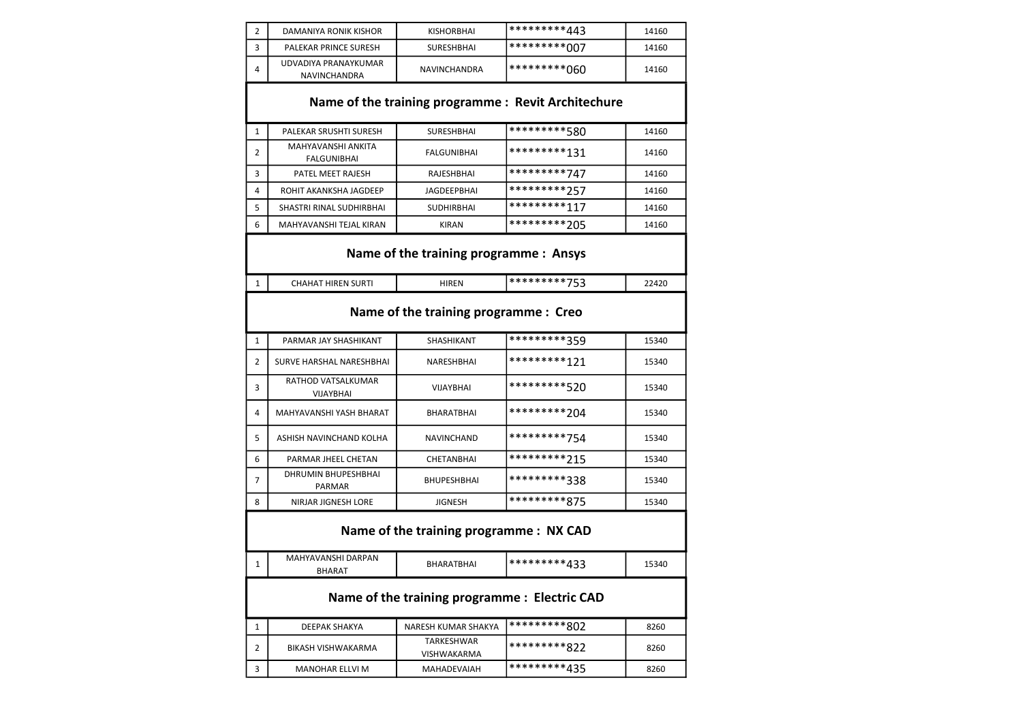| 2 | DAMANIYA RONIK KISHOR                              | <b>KISHORBHAI</b>         | *********443 | 14160 |  |  |  |
|---|----------------------------------------------------|---------------------------|--------------|-------|--|--|--|
| 3 | PALEKAR PRINCE SURESH                              | <b>SURESHBHAI</b>         | *********007 | 14160 |  |  |  |
| 4 | UDVADIYA PRANAYKUMAR<br>NAVINCHANDRA               | NAVINCHANDRA              | *********060 | 14160 |  |  |  |
|   | Name of the training programme: Revit Architechure |                           |              |       |  |  |  |
| 1 | PALEKAR SRUSHTI SURESH                             | SURESHBHAI                | *********580 | 14160 |  |  |  |
| 2 | <b>MAHYAVANSHI ANKITA</b><br>FALGUNIBHAI           | <b>FALGUNIBHAI</b>        | *********131 | 14160 |  |  |  |
| 3 | PATEL MEET RAJESH                                  | <b>RAJESHBHAI</b>         | *********747 | 14160 |  |  |  |
| 4 | ROHIT AKANKSHA JAGDEEP                             | JAGDEEPBHAI               | *********257 | 14160 |  |  |  |
| 5 | SHASTRI RINAL SUDHIRBHAI                           | <b>SUDHIRBHAI</b>         | *********117 | 14160 |  |  |  |
| 6 | MAHYAVANSHI TEJAL KIRAN                            | KIRAN                     | *********205 | 14160 |  |  |  |
|   | Name of the training programme : Ansys             |                           |              |       |  |  |  |
| 1 | <b>CHAHAT HIREN SURTI</b>                          | <b>HIREN</b>              | *********753 | 22420 |  |  |  |
|   | Name of the training programme : Creo              |                           |              |       |  |  |  |
| 1 | PARMAR JAY SHASHIKANT                              | SHASHIKANT                | *********359 | 15340 |  |  |  |
| 2 | <b>SURVE HARSHAL NARESHBHAI</b>                    | NARESHBHAI                | *********121 | 15340 |  |  |  |
| 3 | RATHOD VATSALKUMAR<br>VIJAYBHAI                    | VIJAYBHAI                 | *********520 | 15340 |  |  |  |
| 4 | MAHYAVANSHI YASH BHARAT                            | BHARATBHAI                | *********204 | 15340 |  |  |  |
| 5 | ASHISH NAVINCHAND KOLHA                            | NAVINCHAND                | *********754 | 15340 |  |  |  |
| 6 | PARMAR JHEEL CHETAN                                | CHETANBHAI                | *********215 | 15340 |  |  |  |
| 7 | DHRUMIN BHUPESHBHAI<br>PARMAR                      | <b>BHUPESHBHAI</b>        | *********338 | 15340 |  |  |  |
| 8 | NIRJAR JIGNESH LORE                                | <b>JIGNESH</b>            | *********875 | 15340 |  |  |  |
|   | Name of the training programme : NX CAD            |                           |              |       |  |  |  |
| 1 | MAHYAVANSHI DARPAN<br><b>BHARAT</b>                | BHARATBHAI                | *********433 | 15340 |  |  |  |
|   | Name of the training programme : Electric CAD      |                           |              |       |  |  |  |
| 1 | DEEPAK SHAKYA                                      | NARESH KUMAR SHAKYA       | *********802 | 8260  |  |  |  |
| 2 | BIKASH VISHWAKARMA                                 | TARKESHWAR<br>VISHWAKARMA | *********822 | 8260  |  |  |  |
| 3 | <b>MANOHAR ELLVI M</b>                             | MAHADEVAIAH               | *********435 | 8260  |  |  |  |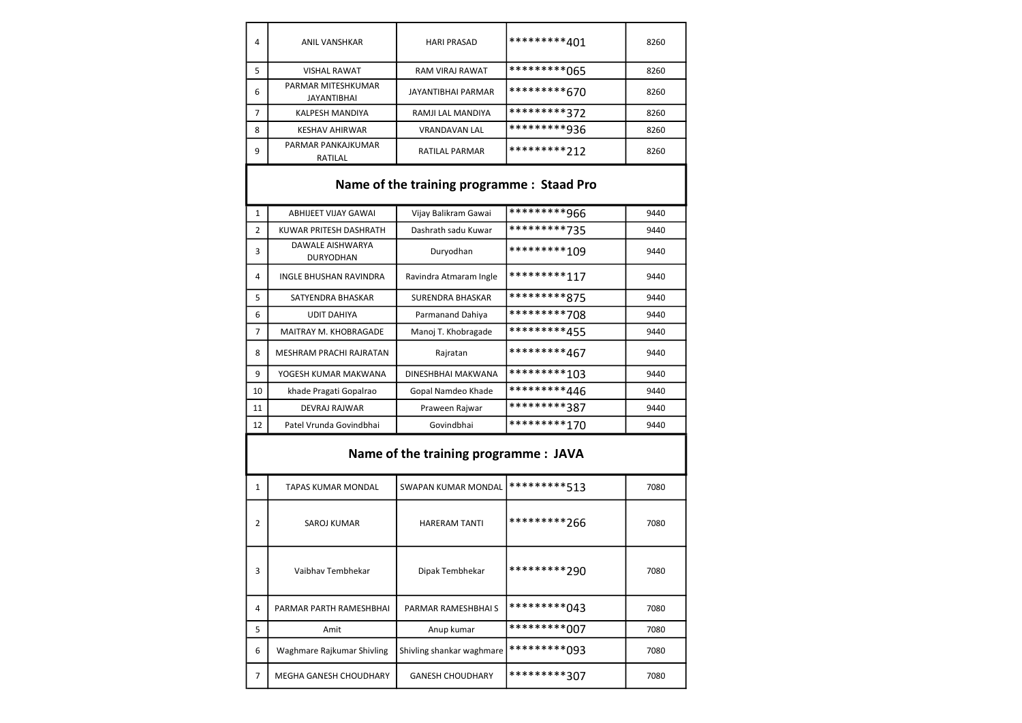| 4                                         | <b>ANIL VANSHKAR</b>                     | <b>HARI PRASAD</b>                    | *********401 | 8260 |  |
|-------------------------------------------|------------------------------------------|---------------------------------------|--------------|------|--|
| 5                                         | <b>VISHAL RAWAT</b>                      | <b>RAM VIRAJ RAWAT</b>                | *********065 | 8260 |  |
| 6                                         | PARMAR MITESHKUMAR<br><b>JAYANTIBHAI</b> | <b>JAYANTIBHAI PARMAR</b>             | *********670 | 8260 |  |
| 7                                         | KALPESH MANDIYA                          | RAMJI LAL MANDIYA                     | *********372 | 8260 |  |
| 8                                         | <b>KESHAV AHIRWAR</b>                    | <b>VRANDAVAN LAL</b>                  | *********936 | 8260 |  |
| 9                                         | PARMAR PANKAJKUMAR<br>RATILAL            | RATILAL PARMAR                        | *********212 | 8260 |  |
| Name of the training programme: Staad Pro |                                          |                                       |              |      |  |
| $\mathbf{1}$                              | <b>ABHIJEET VIJAY GAWAI</b>              | Vijay Balikram Gawai                  | *********966 | 9440 |  |
| $\overline{2}$                            | KUWAR PRITESH DASHRATH                   | Dashrath sadu Kuwar                   | *********735 | 9440 |  |
| 3                                         | DAWALE AISHWARYA<br><b>DURYODHAN</b>     | Duryodhan                             | *********109 | 9440 |  |
| 4                                         | INGLE BHUSHAN RAVINDRA                   | Ravindra Atmaram Ingle                | *********117 | 9440 |  |
| 5                                         | SATYENDRA BHASKAR                        | <b>SURENDRA BHASKAR</b>               | *********875 | 9440 |  |
| 6                                         | <b>UDIT DAHIYA</b>                       | Parmanand Dahiya                      | *********708 | 9440 |  |
| 7                                         | MAITRAY M. KHOBRAGADE                    | Manoj T. Khobragade                   | *********455 | 9440 |  |
| 8                                         | MESHRAM PRACHI RAJRATAN                  | Rajratan                              | *********467 | 9440 |  |
| 9                                         | YOGESH KUMAR MAKWANA                     | DINESHBHAI MAKWANA                    | *********103 | 9440 |  |
| 10                                        | khade Pragati Gopalrao                   | Gopal Namdeo Khade                    | *********446 | 9440 |  |
| 11                                        | <b>DEVRAJ RAJWAR</b>                     | Praween Rajwar                        | *********387 | 9440 |  |
| 12                                        | Patel Vrunda Govindbhai                  | Govindbhai                            | *********170 | 9440 |  |
|                                           |                                          | Name of the training programme : JAVA |              |      |  |
| $\mathbf{1}$                              | <b>TAPAS KUMAR MONDAL</b>                | <b>SWAPAN KUMAR MONDAL</b>            | *********513 | 7080 |  |
| 2                                         | SAROJ KUMAR                              | <b>HARERAM TANTI</b>                  | *********266 | 7080 |  |
| 3                                         | Vaibhav Tembhekar                        | Dipak Tembhekar                       | *********290 | 7080 |  |
| 4                                         | PARMAR PARTH RAMESHBHAI                  | PARMAR RAMESHBHAI S                   | *********043 | 7080 |  |
| 5                                         | Amit                                     | Anup kumar                            | *********007 | 7080 |  |
| 6                                         | Waghmare Rajkumar Shivling               | Shivling shankar waghmare             | *********093 | 7080 |  |
| 7                                         | MEGHA GANESH CHOUDHARY                   | <b>GANESH CHOUDHARY</b>               | *********307 | 7080 |  |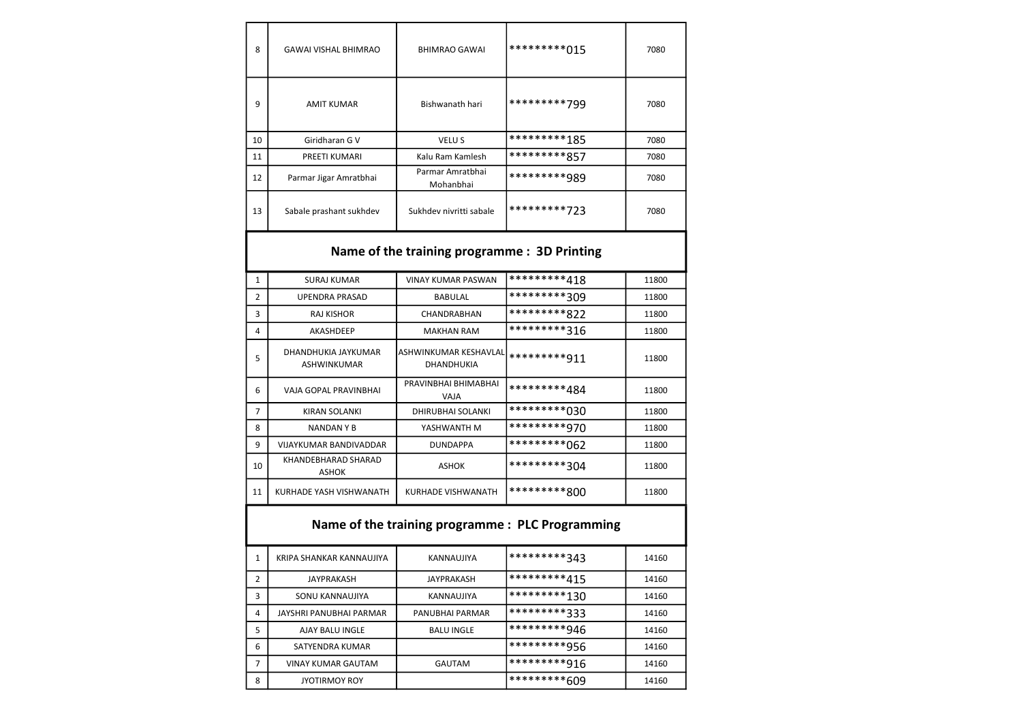| 8  | <b>GAWAI VISHAL BHIMRAO</b> | <b>BHIMRAO GAWAI</b>          | *********015 | 7080 |
|----|-----------------------------|-------------------------------|--------------|------|
| 9  | <b>AMIT KUMAR</b>           | Bishwanath hari               | *********799 | 7080 |
| 10 | Giridharan G V              | <b>VELUS</b>                  | *********185 | 7080 |
| 11 | PREETI KUMARI               | Kalu Ram Kamlesh              | *********857 | 7080 |
| 12 | Parmar Jigar Amratbhai      | Parmar Amratbhai<br>Mohanbhai | *********989 | 7080 |
| 13 | Sabale prashant sukhdev     | Sukhdev nivritti sabale       | *********723 | 7080 |

#### Name of the training programme : 3D Printing

| 1              | <b>SURAJ KUMAR</b>                        | <b>VINAY KUMAR PASWAN</b>                         | *********418  | 11800 |
|----------------|-------------------------------------------|---------------------------------------------------|---------------|-------|
| $\overline{2}$ | UPENDRA PRASAD                            | <b>BABULAL</b>                                    | *********309  | 11800 |
| 3              | <b>RAJ KISHOR</b>                         | <b>CHANDRABHAN</b>                                | *********822  | 11800 |
| 4              | AKASHDEEP                                 | <b>MAKHAN RAM</b>                                 | *********316  | 11800 |
| 5              | DHANDHUKIA JAYKUMAR<br><b>ASHWINKUMAR</b> | <b>ASHWINKUMAR KESHAVLAL</b><br><b>DHANDHUKIA</b> | *********911  | 11800 |
| 6              | VAJA GOPAL PRAVINBHAI                     | PRAVINBHAI BHIMABHAI<br>VAJA                      | *********484  | 11800 |
| 7              | KIRAN SOLANKI                             | DHIRUBHAI SOLANKI                                 | **********030 | 11800 |
| 8              | NANDAN Y B                                | YASHWANTH M                                       | *********970  | 11800 |
| 9              | VIJAYKUMAR BANDIVADDAR                    | <b>DUNDAPPA</b>                                   | **********062 | 11800 |
| 10             | KHANDEBHARAD SHARAD<br><b>ASHOK</b>       | ASHOK                                             | *********304  | 11800 |
| 11             | KURHADE YASH VISHWANATH                   | KURHADE VISHWANATH                                | *********800  | 11800 |

### Name of the training programme : PLC Programming

|   | KRIPA SHANKAR KANNAUJIYA  | KANNAUJIYA        | *********343  | 14160 |
|---|---------------------------|-------------------|---------------|-------|
| 2 | <b>JAYPRAKASH</b>         | JAYPRAKASH        | *********415  | 14160 |
| 3 | SONU KANNAUJIYA           | KANNAUJIYA        | **********130 | 14160 |
| 4 | JAYSHRI PANUBHAI PARMAR   | PANUBHAI PARMAR   | *********333  | 14160 |
| 5 | AJAY BALU INGLE           | <b>BALU INGLE</b> | *********946  | 14160 |
| 6 | SATYENDRA KUMAR           |                   | *********956  | 14160 |
| 7 | <b>VINAY KUMAR GAUTAM</b> | <b>GAUTAM</b>     | *********916  | 14160 |
| 8 | <b>JYOTIRMOY ROY</b>      |                   | *********609  | 14160 |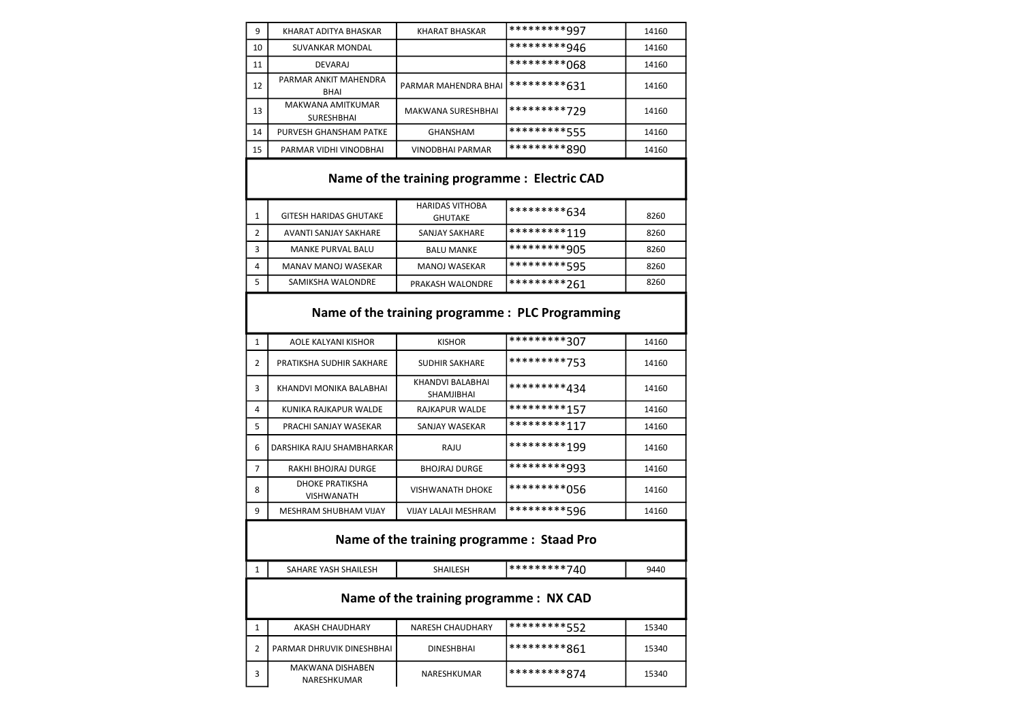| 9  | KHARAT ADITYA BHASKAR                         | <b>KHARAT BHASKAR</b>                    | *********997                                     | 14160 |  |  |
|----|-----------------------------------------------|------------------------------------------|--------------------------------------------------|-------|--|--|
| 10 | <b>SUVANKAR MONDAL</b>                        |                                          | *********946                                     | 14160 |  |  |
| 11 | <b>DEVARAJ</b>                                |                                          | *********068                                     | 14160 |  |  |
| 12 | PARMAR ANKIT MAHENDRA<br><b>BHAI</b>          | PARMAR MAHENDRA BHAI                     | *********631                                     | 14160 |  |  |
| 13 | <b>MAKWANA AMITKUMAR</b><br><b>SURESHBHAI</b> | MAKWANA SURESHBHAI                       | *********729                                     | 14160 |  |  |
| 14 | PURVESH GHANSHAM PATKE                        | <b>GHANSHAM</b>                          | *********555                                     | 14160 |  |  |
| 15 | PARMAR VIDHI VINODBHAI                        | <b>VINODBHAI PARMAR</b>                  | *********890                                     | 14160 |  |  |
|    | Name of the training programme : Electric CAD |                                          |                                                  |       |  |  |
| 1  | <b>GITESH HARIDAS GHUTAKE</b>                 | <b>HARIDAS VITHOBA</b><br><b>GHUTAKE</b> | *********634                                     | 8260  |  |  |
| 2  | AVANTI SANJAY SAKHARE                         | <b>SANJAY SAKHARE</b>                    | *********119                                     | 8260  |  |  |
| 3  | <b>MANKE PURVAL BALU</b>                      | <b>BALU MANKE</b>                        | *********905                                     | 8260  |  |  |
| 4  | MANAV MANOJ WASEKAR                           | <b>MANOJ WASEKAR</b>                     | *********595                                     | 8260  |  |  |
| 5  | SAMIKSHA WALONDRE                             | PRAKASH WALONDRE                         | *********261                                     | 8260  |  |  |
|    |                                               |                                          | Name of the training programme : PLC Programming |       |  |  |
| 1  | <b>AOLE KALYANI KISHOR</b>                    | <b>KISHOR</b>                            | *********307                                     | 14160 |  |  |
| 2  | PRATIKSHA SUDHIR SAKHARE                      | <b>SUDHIR SAKHARE</b>                    | *********753                                     | 14160 |  |  |
| 3  | KHANDVI MONIKA BALABHAI                       | KHANDVI BALABHAI<br>SHAMJIBHAI           | *********434                                     | 14160 |  |  |
| 4  | KUNIKA RAJKAPUR WALDE                         | RAJKAPUR WALDE                           | *********157                                     | 14160 |  |  |
| 5  | PRACHI SANJAY WASEKAR                         | SANJAY WASEKAR                           | *********117                                     | 14160 |  |  |
| 6  | DARSHIKA RAJU SHAMBHARKAR                     | RAJU                                     | *********199                                     | 14160 |  |  |
| 7  | RAKHI BHOJRAJ DURGE                           | <b>BHOJRAJ DURGE</b>                     | *********993                                     | 14160 |  |  |
| 8  | <b>DHOKE PRATIKSHA</b><br><b>VISHWANATH</b>   | <b>VISHWANATH DHOKE</b>                  | *********056                                     | 14160 |  |  |
| 9  | <b>MESHRAM SHUBHAM VIJAY</b>                  | VIJAY LALAJI MESHRAM                     | *********596                                     | 14160 |  |  |
|    | Name of the training programme: Staad Pro     |                                          |                                                  |       |  |  |
| 1  | SAHARE YASH SHAILESH                          | SHAILESH                                 | *********740                                     | 9440  |  |  |
|    | Name of the training programme : NX CAD       |                                          |                                                  |       |  |  |
| 1  | <b>AKASH CHAUDHARY</b>                        | <b>NARESH CHAUDHARY</b>                  | *********552                                     | 15340 |  |  |
| 2  | PARMAR DHRUVIK DINESHBHAI                     | DINESHBHAI                               | *********861                                     | 15340 |  |  |
| 3  | MAKWANA DISHABEN<br>NARESHKUMAR               | NARESHKUMAR                              | *********874                                     | 15340 |  |  |
|    |                                               |                                          |                                                  |       |  |  |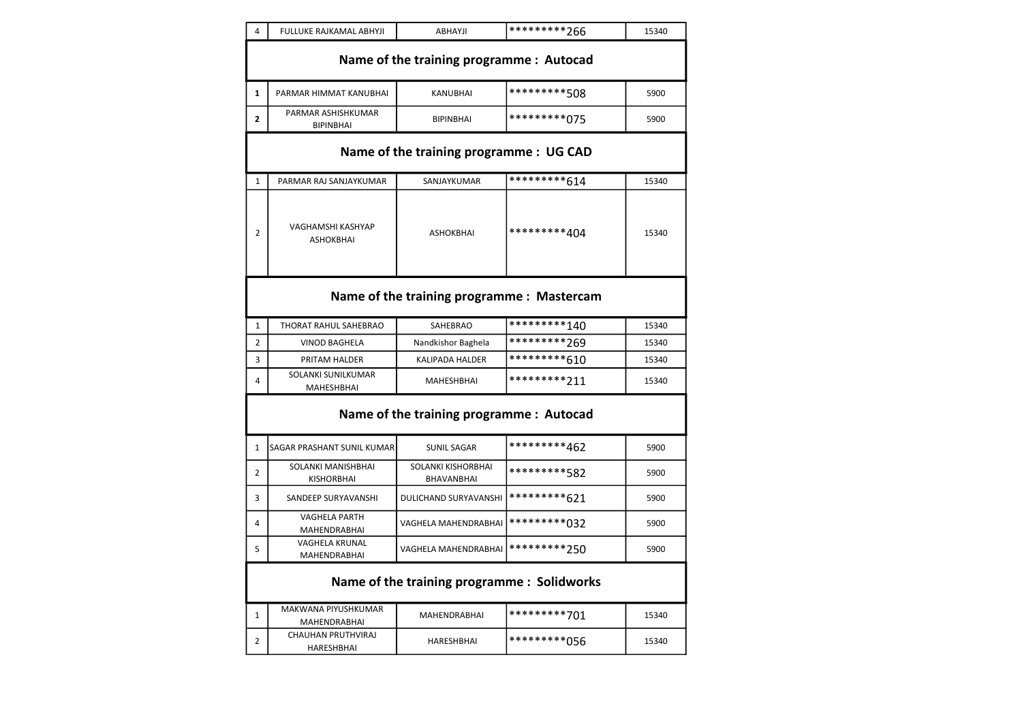| 4                                       | FULLUKE RAJKAMAL ABHYJI                    | ABHAYJI                                     | *********266 | 15340 |  |  |
|-----------------------------------------|--------------------------------------------|---------------------------------------------|--------------|-------|--|--|
|                                         |                                            | Name of the training programme : Autocad    |              |       |  |  |
| $\mathbf{1}$                            | PARMAR HIMMAT KANUBHAI                     | <b>KANUBHAI</b>                             | *********508 | 5900  |  |  |
| 2                                       | PARMAR ASHISHKUMAR<br><b>BIPINBHAI</b>     | <b>BIPINBHAI</b>                            | *********075 | 5900  |  |  |
| Name of the training programme : UG CAD |                                            |                                             |              |       |  |  |
| $\mathbf{1}$                            | PARMAR RAJ SANJAYKUMAR                     | SANJAYKUMAR                                 | *********614 | 15340 |  |  |
| 2                                       | VAGHAMSHI KASHYAP<br><b>ASHOKBHAI</b>      | <b>ASHOKBHAI</b>                            | *********404 | 15340 |  |  |
|                                         | Name of the training programme : Mastercam |                                             |              |       |  |  |
| $\mathbf{1}$                            | THORAT RAHUL SAHEBRAO                      | SAHEBRAO                                    | *********140 | 15340 |  |  |
| $\overline{2}$                          | <b>VINOD BAGHELA</b>                       | Nandkishor Baghela                          | *********269 | 15340 |  |  |
| 3                                       | PRITAM HALDER                              | <b>KALIPADA HALDER</b>                      | *********610 | 15340 |  |  |
| 4                                       | SOLANKI SUNILKUMAR<br>MAHESHBHAI           | <b>MAHESHBHAI</b>                           | *********211 | 15340 |  |  |
|                                         |                                            | Name of the training programme : Autocad    |              |       |  |  |
| 1                                       | SAGAR PRASHANT SUNIL KUMAR                 | <b>SUNIL SAGAR</b>                          | *********462 | 5900  |  |  |
| $\overline{2}$                          | SOLANKI MANISHBHAI<br><b>KISHORBHAI</b>    | SOLANKI KISHORBHAI<br>BHAVANBHAI            | *********582 | 5900  |  |  |
| 3                                       | SANDEEP SURYAVANSHI                        | DULICHAND SURYAVANSHI                       | *********621 | 5900  |  |  |
| 4                                       | <b>VAGHELA PARTH</b><br>MAHENDRABHAI       | VAGHELA MAHENDRABHAI                        | *********032 | 5900  |  |  |
| 5                                       | <b>VAGHELA KRUNAL</b><br>MAHENDRABHAI      | VAGHELA MAHENDRABHAI                        | *********750 | 5900  |  |  |
|                                         |                                            | Name of the training programme : Solidworks |              |       |  |  |
| 1                                       | MAKWANA PIYUSHKUMAR<br><b>MAHENDRABHAI</b> | MAHENDRABHAI                                | *********701 | 15340 |  |  |
| 2                                       | CHAUHAN PRUTHVIRAJ<br>HARESHBHAI           | <b>HARESHBHAI</b>                           | *********056 | 15340 |  |  |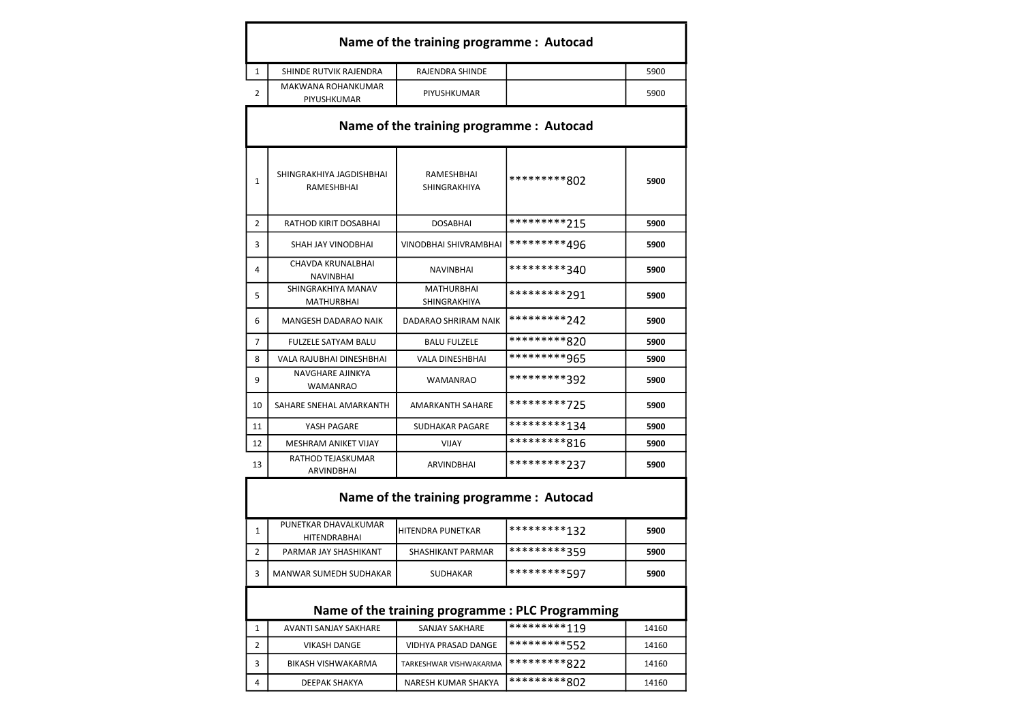|                | Name of the training programme : Autocad      |                                          |              |      |  |
|----------------|-----------------------------------------------|------------------------------------------|--------------|------|--|
| $\mathbf{1}$   | SHINDE RUTVIK RAJENDRA                        | <b>RAJENDRA SHINDE</b>                   |              | 5900 |  |
| $\overline{2}$ | MAKWANA ROHANKUMAR<br>PIYUSHKUMAR             | PIYUSHKUMAR                              |              | 5900 |  |
|                | Name of the training programme: Autocad       |                                          |              |      |  |
| $\mathbf{1}$   | SHINGRAKHIYA JAGDISHBHAI<br><b>RAMESHBHAI</b> | RAMESHBHAI<br><b>SHINGRAKHIYA</b>        | *********802 | 5900 |  |
| $\overline{2}$ | RATHOD KIRIT DOSABHAI                         | <b>DOSABHAI</b>                          | *********215 | 5900 |  |
| 3              | SHAH JAY VINODBHAI                            | VINODBHAI SHIVRAMBHAI                    | *********496 | 5900 |  |
| 4              | <b>CHAVDA KRUNALBHAI</b><br><b>NAVINBHAI</b>  | <b>NAVINBHAI</b>                         | *********340 | 5900 |  |
| 5              | SHINGRAKHIYA MANAV<br><b>MATHURBHAI</b>       | <b>MATHURBHAI</b><br><b>SHINGRAKHIYA</b> | *********791 | 5900 |  |
| 6              | <b>MANGESH DADARAO NAIK</b>                   | DADARAO SHRIRAM NAIK                     | *********747 | 5900 |  |
| $\overline{7}$ | <b>FULZELE SATYAM BALU</b>                    | <b>BALU FULZELE</b>                      | *********820 | 5900 |  |
| 8              | VALA RAJUBHAI DINESHBHAI                      | <b>VALA DINESHBHAI</b>                   | *********965 | 5900 |  |
| q              | <b>NAVGHARE AJINKYA</b><br><b>WAMANRAO</b>    | <b>WAMANRAO</b>                          | *********392 | 5900 |  |
| 10             | SAHARE SNEHAL AMARKANTH                       | <b>AMARKANTH SAHARE</b>                  | *********725 | 5900 |  |
| 11             | YASH PAGARE                                   | <b>SUDHAKAR PAGARE</b>                   | *********134 | 5900 |  |
| 12             | <b>MESHRAM ANIKET VIJAY</b>                   | <b>VIJAY</b>                             | *********816 | 5900 |  |
| 13             | RATHOD TEJASKUMAR<br><b>ARVINDBHAI</b>        | <b>ARVINDBHAI</b>                        | *********237 | 5900 |  |

## Name of the training programme : Autocad

 $\mathbf{I}$ 

| PUNETKAR DHAVALKUMAR<br><b>HITENDRABHAI</b> | <b>I</b> HITENDRA PUNETKAR | *********127   | 5900 |
|---------------------------------------------|----------------------------|----------------|------|
| PARMAR JAY SHASHIKANT                       | SHASHIKANT PARMAR          | 1**********359 | 5900 |
| MANWAR SUMEDH SUDHAKAR                      | <b>SUDHAKAR</b>            | **********597  | 5900 |

## Name of the training programme : PLC Programming

|   | AVANTI SANJAY SAKHARE | SANJAY SAKHARE         | $1**********119$ | 14160 |
|---|-----------------------|------------------------|------------------|-------|
|   | <b>VIKASH DANGE</b>   | VIDHYA PRASAD DANGE    | **********557    | 14160 |
|   | BIKASH VISHWAKARMA    | TARKESHWAR VISHWAKARMA | 1*********822    | 14160 |
| 4 | DEEPAK SHAKYA         | NARESH KUMAR SHAKYA    | 1*********802    | 14160 |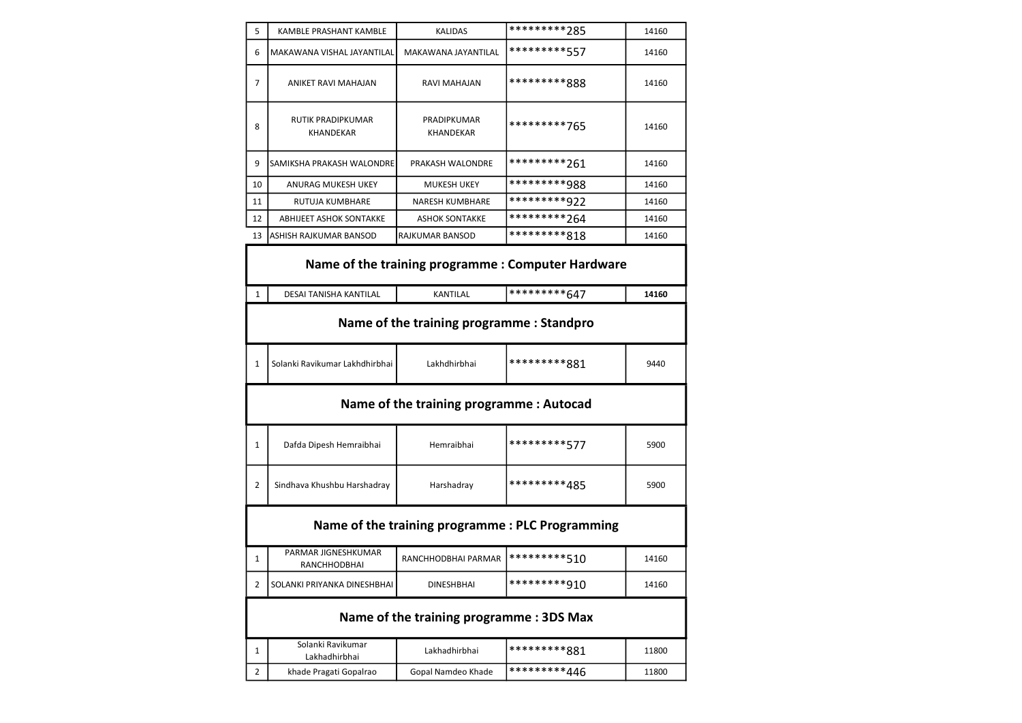| 5  | KAMBLE PRASHANT KAMBLE                | <b>KALIDAS</b>                  | *********285 |       |
|----|---------------------------------------|---------------------------------|--------------|-------|
| 6  | MAKAWANA VISHAL JAYANTILAL            | MAKAWANA JAYANTILAL             | *********557 | 14160 |
| 7  | ANIKET RAVI MAHAJAN                   | RAVI MAHAJAN                    | *********888 | 14160 |
| 8  | RUTIK PRADIPKUMAR<br><b>KHANDEKAR</b> | PRADIPKUMAR<br><b>KHANDEKAR</b> | *********765 | 14160 |
| 9  | SAMIKSHA PRAKASH WALONDRE             | PRAKASH WALONDRE                | *********261 | 14160 |
| 10 | ANURAG MUKESH UKEY                    | <b>MUKESH UKEY</b>              | *********988 | 14160 |
| 11 | <b>RUTUJA KUMBHARE</b>                | <b>NARESH KUMBHARE</b>          | *********922 | 14160 |
| 12 | <b>ABHIJEET ASHOK SONTAKKE</b>        | <b>ASHOK SONTAKKE</b>           | *********264 | 14160 |
| 13 | ASHISH RAJKUMAR BANSOD                | IRAJKUMAR BANSOD                | *********818 | 14160 |
|    |                                       |                                 |              |       |

|                | Name of the training programme : Computer Hardware |                            |              |       |  |  |
|----------------|----------------------------------------------------|----------------------------|--------------|-------|--|--|
| $\mathbf{1}$   | <b>DESAI TANISHA KANTILAL</b>                      | <b>KANTILAL</b>            | *********647 | 14160 |  |  |
|                | Name of the training programme: Standpro           |                            |              |       |  |  |
| $\mathbf{1}$   | Solanki Ravikumar Lakhdhirbhai                     | Lakhdhirbhai               | *********881 | 9440  |  |  |
|                | Name of the training programme: Autocad            |                            |              |       |  |  |
| 1              | Dafda Dipesh Hemraibhai                            | Hemraibhai                 | *********577 | 5900  |  |  |
| $\overline{2}$ | Sindhava Khushbu Harshadray                        | *********485<br>Harshadray |              | 5900  |  |  |
|                | Name of the training programme: PLC Programming    |                            |              |       |  |  |
| 1              | PARMAR JIGNESHKUMAR<br><b>RANCHHODBHAI</b>         | RANCHHODBHAI PARMAR        | *********510 | 14160 |  |  |
| 2              | SOLANKI PRIYANKA DINESHBHAI                        | <b>DINESHBHAI</b>          | *********910 | 14160 |  |  |
|                | Name of the training programme: 3DS Max            |                            |              |       |  |  |
|                | Solanki Ravikumar                                  |                            |              |       |  |  |

| Solanki Ravikumar<br>Lakhadhirbhai | Lakhadhirbhai      | *********881 | 11800 |
|------------------------------------|--------------------|--------------|-------|
| khade Pragati Gopalrao             | Gopal Namdeo Khade | *********446 | 11800 |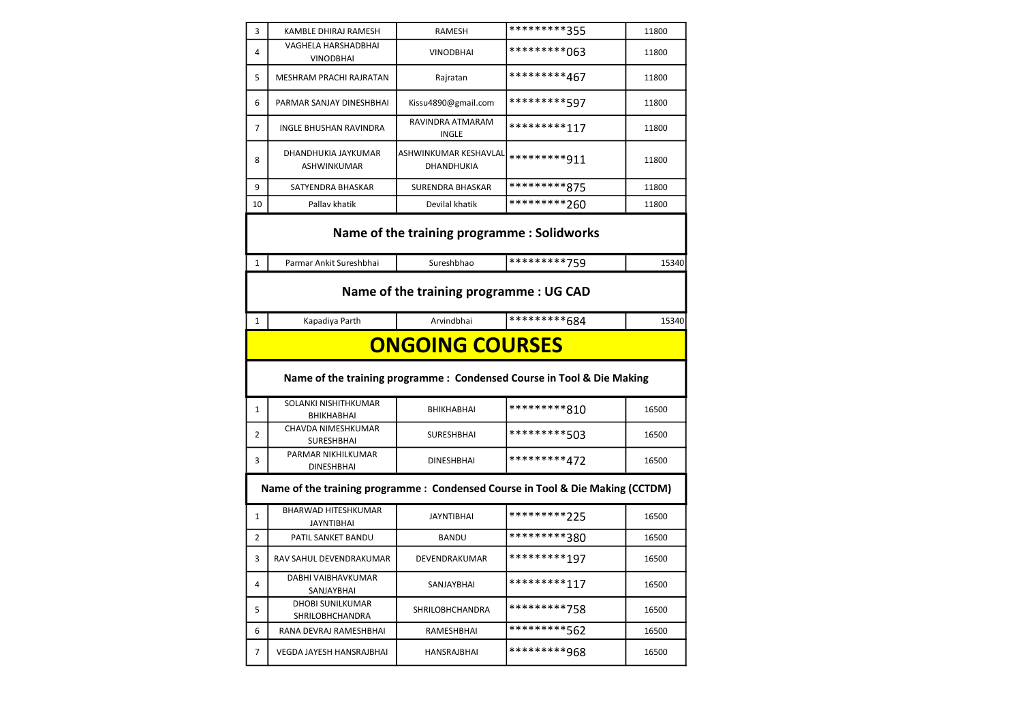| 3                                                                              | KAMBLE DHIRAJ RAMESH                     | RAMESH                                     | *********355                                                           | 11800 |
|--------------------------------------------------------------------------------|------------------------------------------|--------------------------------------------|------------------------------------------------------------------------|-------|
| 4                                                                              | VAGHELA HARSHADBHAI<br><b>VINODBHAI</b>  | <b>VINODBHAI</b>                           | *********063                                                           | 11800 |
| 5                                                                              | MESHRAM PRACHI RAJRATAN                  | Rajratan                                   | *********467                                                           | 11800 |
| 6                                                                              | PARMAR SANJAY DINESHBHAI                 | Kissu4890@gmail.com                        | *********597                                                           | 11800 |
| 7                                                                              | INGLE BHUSHAN RAVINDRA                   | RAVINDRA ATMARAM<br><b>INGLE</b>           | *********117                                                           | 11800 |
| 8                                                                              | DHANDHUKIA JAYKUMAR<br>ASHWINKUMAR       | ASHWINKUMAR KESHAVLAL<br>DHANDHUKIA        | *********911                                                           | 11800 |
| 9                                                                              | SATYENDRA BHASKAR                        | <b>SURENDRA BHASKAR</b>                    | *********875                                                           | 11800 |
| 10                                                                             | Pallav khatik                            | Devilal khatik                             | *********260                                                           | 11800 |
|                                                                                |                                          | Name of the training programme: Solidworks | *********759                                                           |       |
| $\mathbf{1}$                                                                   | Parmar Ankit Sureshbhai                  | Sureshbhao                                 |                                                                        | 15340 |
|                                                                                |                                          | Name of the training programme: UG CAD     |                                                                        |       |
| 1                                                                              | Kapadiya Parth                           | Arvindbhai                                 | *********684                                                           | 15340 |
|                                                                                |                                          | <b>ONGOING COURSES</b>                     |                                                                        |       |
|                                                                                |                                          |                                            | Name of the training programme : Condensed Course in Tool & Die Making |       |
| 1                                                                              | SOLANKI NISHITHKUMAR<br>BHIKHABHAI       | <b>BHIKHABHAI</b>                          | *********810                                                           | 16500 |
| 2                                                                              | CHAVDA NIMESHKUMAR<br>SURESHBHAI         | <b>SURESHBHAI</b>                          | *********503                                                           | 16500 |
| 3                                                                              | PARMAR NIKHILKUMAR                       |                                            |                                                                        |       |
| Name of the training programme : Condensed Course in Tool & Die Making (CCTDM) |                                          |                                            |                                                                        |       |
|                                                                                | <b>DINESHBHAI</b>                        | <b>DINESHBHAI</b>                          | *********472                                                           | 16500 |
| 1                                                                              | BHARWAD HITESHKUMAR<br><b>JAYNTIBHAI</b> | <b>JAYNTIBHAI</b>                          | *********225                                                           | 16500 |
| 2                                                                              | PATIL SANKET BANDU                       | <b>BANDU</b>                               | *********380                                                           | 16500 |
| 3                                                                              | RAV SAHUL DEVENDRAKUMAR                  | DEVENDRAKUMAR                              | *********197                                                           | 16500 |
| 4                                                                              | DABHI VAIBHAVKUMAR<br>SANJAYBHAI         | SANJAYBHAI                                 | *********117                                                           | 16500 |
| 5                                                                              | DHOBI SUNILKUMAR<br>SHRILOBHCHANDRA      | SHRILOBHCHANDRA                            | *********758                                                           | 16500 |
| 6                                                                              | RANA DEVRAJ RAMESHBHAI                   | RAMESHBHAI                                 | *********562                                                           | 16500 |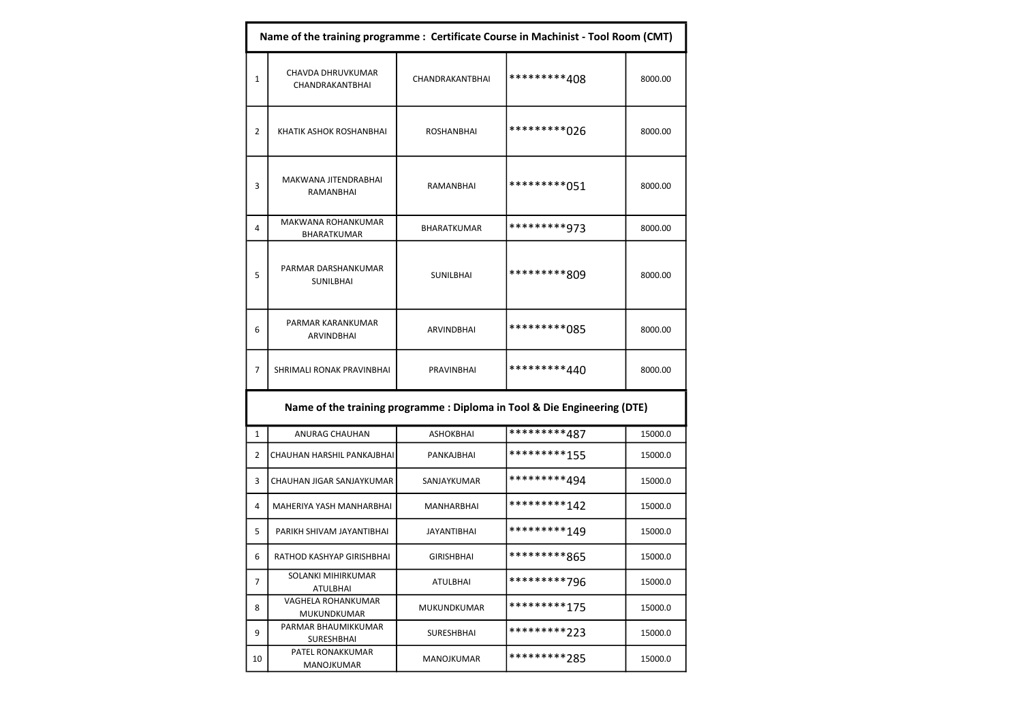|                | Name of the training programme : Certificate Course in Machinist - Tool Room (CMT) |                                   |                                                                          |         |  |
|----------------|------------------------------------------------------------------------------------|-----------------------------------|--------------------------------------------------------------------------|---------|--|
| 1              | CHAVDA DHRUVKUMAR<br>CHANDRAKANTBHAI                                               | CHANDRAKANTBHAI                   | *********408                                                             | 8000.00 |  |
| 2              | KHATIK ASHOK ROSHANBHAI                                                            | ROSHANBHAI                        | *********026                                                             | 8000.00 |  |
| 3              | MAKWANA JITENDRABHAI<br>RAMANBHAI                                                  | <b>RAMANBHAI</b>                  | *********051                                                             | 8000.00 |  |
| 4              | MAKWANA ROHANKUMAR<br>BHARATKUMAR                                                  | BHARATKUMAR                       | *********973                                                             | 8000.00 |  |
| 5              | PARMAR DARSHANKUMAR<br>SUNILBHAI                                                   | SUNILBHAI                         | *********809                                                             | 8000.00 |  |
| 6              | PARMAR KARANKUMAR<br>ARVINDBHAI                                                    | ARVINDBHAI                        | *********085                                                             | 8000.00 |  |
| 7              | SHRIMALI RONAK PRAVINBHAI                                                          | *********440<br><b>PRAVINBHAI</b> |                                                                          | 8000.00 |  |
|                |                                                                                    |                                   | Name of the training programme : Diploma in Tool & Die Engineering (DTE) |         |  |
| 1              | ANURAG CHAUHAN                                                                     | <b>ASHOKBHAI</b>                  | *********487                                                             | 15000.0 |  |
| 2              | CHAUHAN HARSHIL PANKAJBHAI                                                         | PANKAJBHAI                        | *********155                                                             | 15000.0 |  |
| 3              | CHAUHAN JIGAR SANJAYKUMAR                                                          | SANJAYKUMAR                       | *********494                                                             | 15000.0 |  |
| 4              | MAHERIYA YASH MANHARBHAI                                                           | MANHARBHAI                        | *********142                                                             | 15000.0 |  |
| 5              | PARIKH SHIVAM JAYANTIBHAI                                                          | <b>JAYANTIBHAI</b>                | *********149                                                             | 15000.0 |  |
| 6              | RATHOD KASHYAP GIRISHBHAI                                                          | <b>GIRISHBHAI</b>                 | *********865                                                             | 15000.0 |  |
| $\overline{7}$ | SOLANKI MIHIRKUMAR<br>ATULBHAI                                                     | ATULBHAI                          | *********796                                                             | 15000.0 |  |
| 8              | VAGHELA ROHANKUMAR<br>MUKUNDKUMAR                                                  | MUKUNDKUMAR                       | *********175                                                             | 15000.0 |  |
| 9              | PARMAR BHAUMIKKUMAR<br>SURESHBHAI                                                  | SURESHBHAI                        | *********223                                                             | 15000.0 |  |
| 10             | PATEL RONAKKUMAR<br>MANOJKUMAR                                                     | <b>MANOJKUMAR</b>                 | *********285                                                             | 15000.0 |  |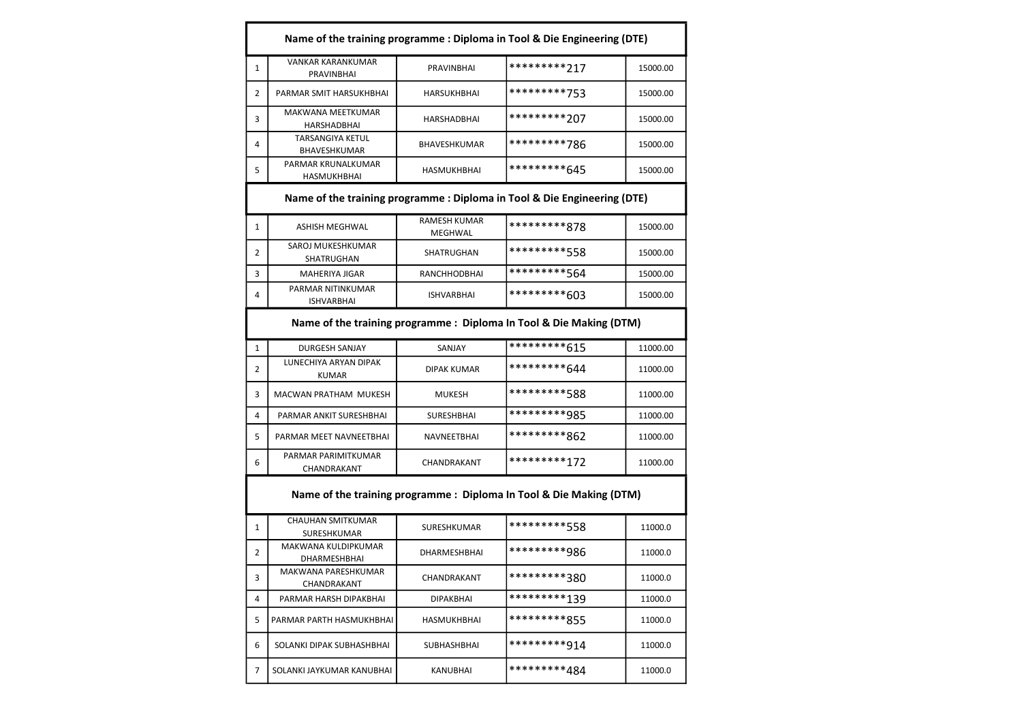|              | Name of the training programme : Diploma in Tool & Die Engineering (DTE) |                                |                                                                          |          |
|--------------|--------------------------------------------------------------------------|--------------------------------|--------------------------------------------------------------------------|----------|
| 1            | <b>VANKAR KARANKUMAR</b><br>PRAVINBHAI                                   | PRAVINBHAI                     | *********217                                                             | 15000.00 |
| 2            | PARMAR SMIT HARSUKHBHAI                                                  | HARSUKHBHAI                    | *********753                                                             | 15000.00 |
| 3            | MAKWANA MEETKUMAR<br>HARSHADBHAI                                         | <b>HARSHADBHAI</b>             | *********207                                                             | 15000.00 |
| 4            | <b>TARSANGIYA KETUL</b><br>BHAVESHKUMAR                                  | BHAVESHKUMAR                   | *********786                                                             | 15000.00 |
| 5            | PARMAR KRUNALKUMAR<br>HASMUKHBHAI                                        | HASMUKHBHAI                    | *********645                                                             | 15000.00 |
|              |                                                                          |                                | Name of the training programme : Diploma in Tool & Die Engineering (DTE) |          |
| 1            | <b>ASHISH MEGHWAL</b>                                                    | <b>RAMESH KUMAR</b><br>MEGHWAL | *********878                                                             | 15000.00 |
| 2            | SAROJ MUKESHKUMAR<br>SHATRUGHAN                                          | SHATRUGHAN                     | *********558                                                             | 15000.00 |
| 3            | MAHERIYA JIGAR                                                           | RANCHHODBHAI                   | *********564                                                             | 15000.00 |
| 4            | PARMAR NITINKUMAR<br><b>ISHVARBHAI</b>                                   | <b>ISHVARBHAI</b>              | *********603                                                             | 15000.00 |
|              |                                                                          |                                | Name of the training programme : Diploma In Tool & Die Making (DTM)      |          |
| 1            | <b>DURGESH SANJAY</b>                                                    | SANJAY                         | *********615                                                             | 11000.00 |
| 2            | LUNECHIYA ARYAN DIPAK<br><b>KUMAR</b>                                    | DIPAK KUMAR                    | *********644                                                             | 11000.00 |
| 3            | MACWAN PRATHAM MUKESH                                                    | <b>MUKESH</b>                  | *********588                                                             | 11000.00 |
| 4            | PARMAR ANKIT SURESHBHAI                                                  | SURESHBHAI                     | *********985                                                             | 11000.00 |
| 5            | PARMAR MEET NAVNEETBHAI                                                  | NAVNEETBHAI                    | *********862                                                             | 11000.00 |
| 6            | PARMAR PARIMITKUMAR<br>CHANDRAKANT                                       | CHANDRAKANT                    | *********172                                                             | 11000.00 |
|              |                                                                          |                                | Name of the training programme : Diploma In Tool & Die Making (DTM)      |          |
| $\mathbf{1}$ | <b>CHAUHAN SMITKUMAR</b><br>SURESHKUMAR                                  | SURESHKUMAR                    | *********558                                                             | 11000.0  |
| 2            | MAKWANA KULDIPKUMAR<br>DHARMESHBHAI                                      | <b>DHARMESHBHAI</b>            | *********986                                                             | 11000.0  |
| 3            | MAKWANA PARESHKUMAR<br>CHANDRAKANT                                       | CHANDRAKANT                    | *********380                                                             | 11000.0  |
| 4            | PARMAR HARSH DIPAKBHAI                                                   | DIPAKBHAI                      | *********139                                                             | 11000.0  |
| 5            | PARMAR PARTH HASMUKHBHAI                                                 | HASMUKHBHAI                    | *********855                                                             | 11000.0  |
| 6            | SOLANKI DIPAK SUBHASHBHAI                                                | SUBHASHBHAI                    | *********914                                                             | 11000.0  |
| 7            | SOLANKI JAYKUMAR KANUBHAI                                                | KANUBHAI                       | *********484                                                             | 11000.0  |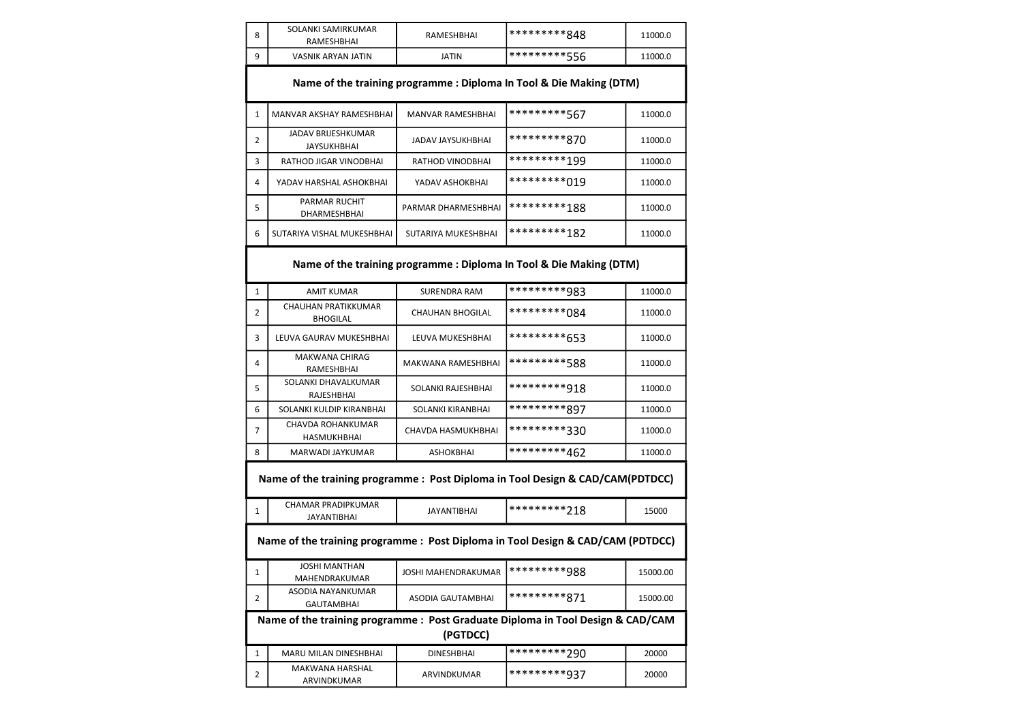| 8            | SOLANKI SAMIRKUMAR<br>RAMESHBHAI                                                | <b>RAMESHBHAI</b>       | *********848                                                        | 11000.0  |  |  |
|--------------|---------------------------------------------------------------------------------|-------------------------|---------------------------------------------------------------------|----------|--|--|
| 9            | <b>VASNIK ARYAN JATIN</b>                                                       | <b>JATIN</b>            | *********556                                                        | 11000.0  |  |  |
|              |                                                                                 |                         | Name of the training programme : Diploma In Tool & Die Making (DTM) |          |  |  |
| 1            | MANVAR AKSHAY RAMESHBHAI                                                        | MANVAR RAMESHBHAI       | *********567                                                        | 11000.0  |  |  |
| 2            | JADAV BRIJESHKUMAR<br><b>JAYSUKHBHAI</b>                                        | JADAV JAYSUKHBHAI       | *********870                                                        | 11000.0  |  |  |
| 3            | RATHOD JIGAR VINODBHAI                                                          | RATHOD VINODBHAI        | *********199                                                        | 11000.0  |  |  |
| 4            | YADAV HARSHAL ASHOKBHAI                                                         | YADAV ASHOKBHAI         | *********019                                                        | 11000.0  |  |  |
| 5            | PARMAR RUCHIT<br>DHARMESHBHAI                                                   | PARMAR DHARMESHBHAI     | *********188                                                        | 11000.0  |  |  |
| 6            | SUTARIYA VISHAL MUKESHBHAI                                                      | SUTARIYA MUKESHBHAI     | *********182                                                        | 11000.0  |  |  |
|              | Name of the training programme : Diploma In Tool & Die Making (DTM)             |                         |                                                                     |          |  |  |
| $\mathbf{1}$ | <b>AMIT KUMAR</b>                                                               | <b>SURENDRA RAM</b>     | *********983                                                        | 11000.0  |  |  |
| 2            | CHAUHAN PRATIKKUMAR<br><b>BHOGILAL</b>                                          | <b>CHAUHAN BHOGILAL</b> | *********084                                                        | 11000.0  |  |  |
| 3            | LEUVA GAURAV MUKESHBHAI                                                         | LEUVA MUKESHBHAI        | *********653                                                        | 11000.0  |  |  |
| 4            | <b>MAKWANA CHIRAG</b><br>RAMESHBHAI                                             | MAKWANA RAMESHBHAI      | *********588                                                        | 11000.0  |  |  |
| 5            | SOLANKI DHAVALKUMAR<br>RAJESHBHAI                                               | SOLANKI RAJESHBHAI      | *********918                                                        | 11000.0  |  |  |
| 6            | SOLANKI KULDIP KIRANBHAI                                                        | SOLANKI KIRANBHAI       | *********897                                                        | 11000.0  |  |  |
| 7            | CHAVDA ROHANKUMAR<br>HASMUKHBHAI                                                | CHAVDA HASMUKHBHAI      | *********330                                                        | 11000.0  |  |  |
| 8            | MARWADI JAYKUMAR                                                                | <b>ASHOKBHAI</b>        | *********462                                                        | 11000.0  |  |  |
|              | Name of the training programme: Post Diploma in Tool Design & CAD/CAM(PDTDCC)   |                         |                                                                     |          |  |  |
| $\mathbf{1}$ | <b>CHAMAR PRADIPKUMAR</b><br><b>JAYANTIBHAI</b>                                 | <b>JAYANTIBHAI</b>      | *********218                                                        | 15000    |  |  |
|              | Name of the training programme : Post Diploma in Tool Design & CAD/CAM (PDTDCC) |                         |                                                                     |          |  |  |
| 1            | <b>JOSHI MANTHAN</b><br>MAHENDRAKUMAR                                           | JOSHI MAHENDRAKUMAR     | *********988                                                        | 15000.00 |  |  |
| 2            | <b>ASODIA NAYANKUMAR</b><br>GAUTAMBHAI                                          | ASODIA GAUTAMBHAI       | *********871                                                        | 15000.00 |  |  |
|              | Name of the training programme : Post Graduate Diploma in Tool Design & CAD/CAM | (PGTDCC)                |                                                                     |          |  |  |
| 1            | <b>MARU MILAN DINESHBHAI</b>                                                    | <b>DINESHBHAI</b>       | **********290                                                       | 20000    |  |  |
| 2            | <b>MAKWANA HARSHAL</b><br>ARVINDKUMAR                                           | ARVINDKUMAR             | *********937                                                        | 20000    |  |  |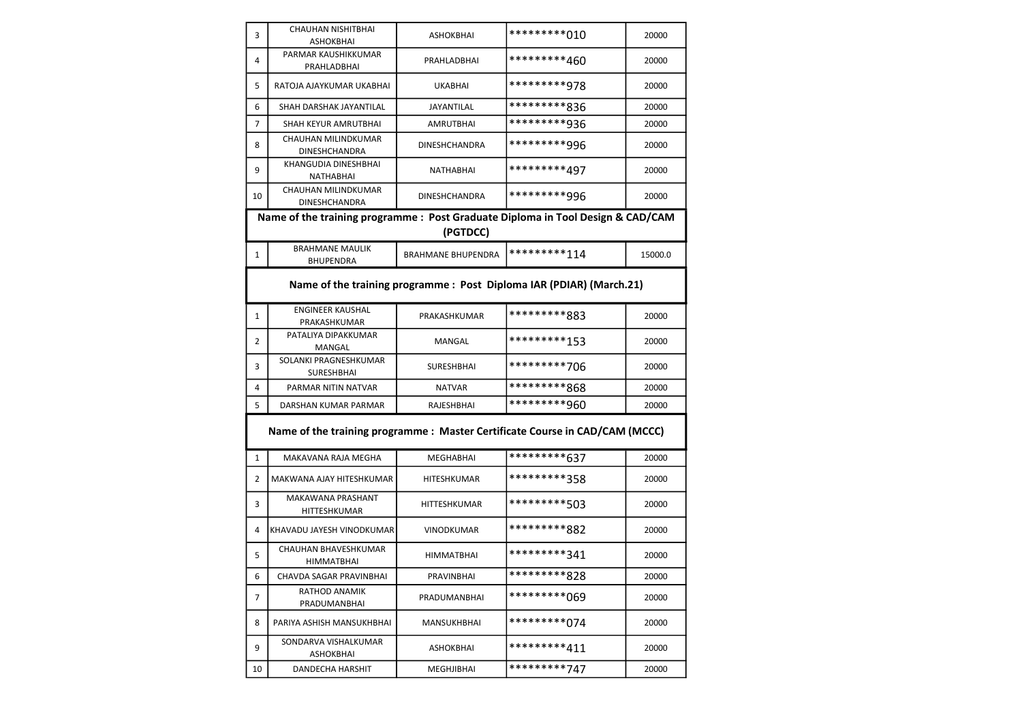| 3            | <b>CHAUHAN NISHITBHAI</b><br>ASHOKBHAI                                          | <b>ASHOKBHAI</b>          | **********010 | 20000   |  |
|--------------|---------------------------------------------------------------------------------|---------------------------|---------------|---------|--|
| 4            | PARMAR KAUSHIKKUMAR<br>PRAHLADBHAI                                              | PRAHLADBHAI               | *********460  | 20000   |  |
| 5            | RATOJA AJAYKUMAR UKABHAI                                                        | <b>UKABHAI</b>            | *********978  | 20000   |  |
| 6            | SHAH DARSHAK JAYANTILAL                                                         | <b>JAYANTILAL</b>         | *********836  | 20000   |  |
| 7            | SHAH KEYUR AMRUTBHAI                                                            | <b>AMRUTBHAI</b>          | *********936  | 20000   |  |
| 8            | CHAUHAN MILINDKUMAR<br><b>DINESHCHANDRA</b>                                     | <b>DINESHCHANDRA</b>      | *********996  | 20000   |  |
| 9            | KHANGUDIA DINESHBHAI<br>NATHABHAI                                               | NATHABHAI                 | *********497  | 20000   |  |
| 10           | CHAUHAN MILINDKUMAR<br>DINESHCHANDRA                                            | <b>DINESHCHANDRA</b>      | *********996  | 20000   |  |
|              | Name of the training programme : Post Graduate Diploma in Tool Design & CAD/CAM |                           |               |         |  |
|              |                                                                                 | (PGTDCC)                  |               |         |  |
| 1            | <b>BRAHMANE MAULIK</b><br><b>BHUPENDRA</b>                                      | <b>BRAHMANE BHUPENDRA</b> | *********114  | 15000.0 |  |
|              | Name of the training programme : Post Diploma IAR (PDIAR) (March.21)            |                           |               |         |  |
| $\mathbf{1}$ | <b>ENGINEER KAUSHAL</b><br>PRAKASHKUMAR                                         | PRAKASHKUMAR              | *********883  | 20000   |  |
| 2            | PATALIYA DIPAKKUMAR<br>MANGAL                                                   | MANGAL                    | *********153  | 20000   |  |
| 3            | SOLANKI PRAGNESHKUMAR<br><b>SURESHBHAI</b>                                      | <b>SURESHBHAI</b>         | *********706  | 20000   |  |
| 4            | PARMAR NITIN NATVAR                                                             | <b>NATVAR</b>             | *********868  | 20000   |  |
| 5            | DARSHAN KUMAR PARMAR                                                            | RAJESHBHAI                | *********960  | 20000   |  |
|              | Name of the training programme : Master Certificate Course in CAD/CAM (MCCC)    |                           |               |         |  |
| $\mathbf{1}$ | MAKAVANA RAJA MEGHA                                                             | <b>MEGHABHAI</b>          | *********637  | 20000   |  |
| 2            | MAKWANA AJAY HITESHKUMAR                                                        | HITESHKUMAR               | *********358  | 20000   |  |
| 3            | <b>MAKAWANA PRASHANT</b><br>HITTESHKUMAR                                        | HITTESHKUMAR              | *********503  | 20000   |  |
| 4            | KHAVADU JAYESH VINODKUMAR                                                       | <b>VINODKUMAR</b>         | *********882  | 20000   |  |
| 5            | CHAUHAN BHAVESHKUMAR<br>HIMMATBHAI                                              | <b>HIMMATBHAI</b>         | *********341  | 20000   |  |
| 6            | CHAVDA SAGAR PRAVINBHAI                                                         | PRAVINBHAI                | *********828  | 20000   |  |
| 7            | RATHOD ANAMIK<br>PRADUMANBHAI                                                   | PRADUMANBHAI              | *********069  | 20000   |  |
| 8            | PARIYA ASHISH MANSUKHBHAI                                                       | MANSUKHBHAI               | *********074  | 20000   |  |
| 9            | SONDARVA VISHALKUMAR<br>ASHOKBHAI                                               | <b>ASHOKBHAI</b>          | *********411  | 20000   |  |
| 10           | DANDECHA HARSHIT                                                                | MEGHJIBHAI                | *********747  | 20000   |  |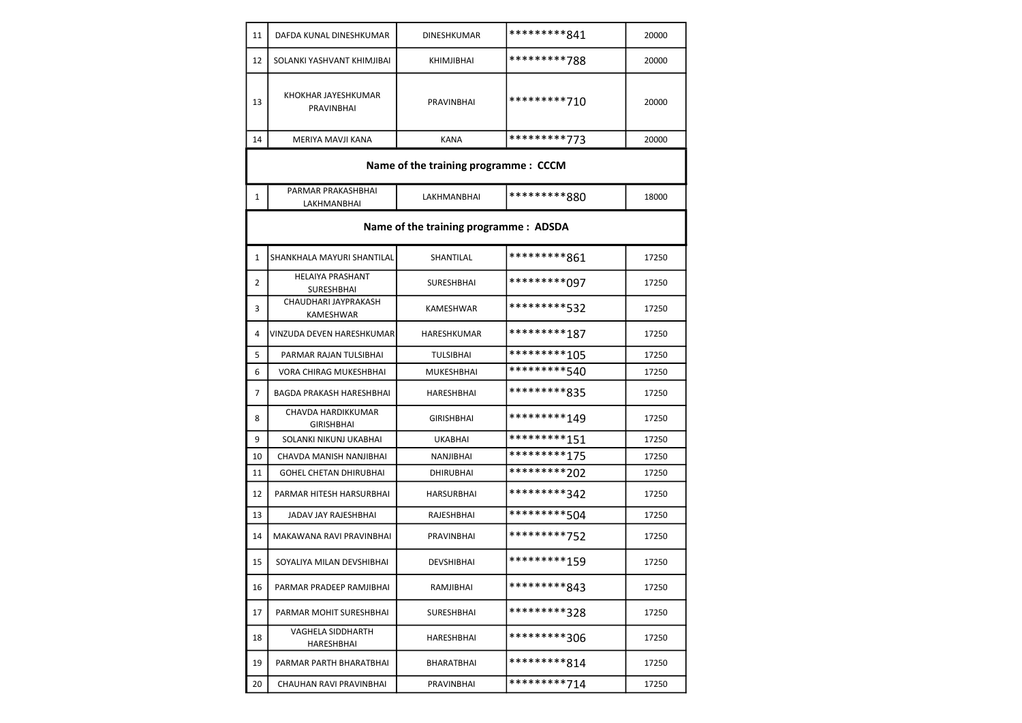| 11 | DAFDA KUNAL DINESHKUMAR                                                          | <b>DINESHKUMAR</b>                    | *********841 | 20000 |  |  |  |
|----|----------------------------------------------------------------------------------|---------------------------------------|--------------|-------|--|--|--|
| 12 | SOLANKI YASHVANT KHIMJIBAI                                                       | KHIMJIBHAI                            | *********788 | 20000 |  |  |  |
| 13 | KHOKHAR JAYESHKUMAR<br><b>PRAVINBHAI</b>                                         | <b>PRAVINBHAI</b>                     | *********710 | 20000 |  |  |  |
| 14 | MERIYA MAVJI KANA                                                                | <b>KANA</b>                           | *********773 | 20000 |  |  |  |
|    |                                                                                  | Name of the training programme : CCCM |              |       |  |  |  |
| 1  | PARMAR PRAKASHBHAI<br>*********880<br><b>LAKHMANBHAI</b><br>18000<br>LAKHMANBHAI |                                       |              |       |  |  |  |
|    | Name of the training programme : ADSDA                                           |                                       |              |       |  |  |  |
| 1  | SHANKHALA MAYURI SHANTILAL                                                       | SHANTILAL                             | *********861 | 17250 |  |  |  |
| 2  | <b>HELAIYA PRASHANT</b><br><b>SURESHBHAI</b>                                     | <b>SURESHBHAI</b>                     | *********097 | 17250 |  |  |  |
| 3  | CHAUDHARI JAYPRAKASH<br>KAMESHWAR                                                | <b>KAMESHWAR</b>                      | *********532 | 17250 |  |  |  |
| 4  | VINZUDA DEVEN HARESHKUMAR                                                        | HARESHKUMAR                           | *********187 | 17250 |  |  |  |
| 5  | PARMAR RAJAN TULSIBHAI                                                           | <b>TULSIBHAI</b>                      | *********105 | 17250 |  |  |  |
| 6  | <b>VORA CHIRAG MUKESHBHAI</b>                                                    | <b>MUKESHBHAI</b>                     | *********540 | 17250 |  |  |  |
| 7  | <b>BAGDA PRAKASH HARESHBHAI</b>                                                  | HARESHBHAI                            | *********835 | 17250 |  |  |  |
| 8  | CHAVDA HARDIKKUMAR<br><b>GIRISHBHAI</b>                                          | <b>GIRISHBHAI</b>                     | *********149 | 17250 |  |  |  |
| 9  | SOLANKI NIKUNJ UKABHAI                                                           | <b>UKABHAI</b>                        | *********151 | 17250 |  |  |  |
| 10 | CHAVDA MANISH NANJIBHAI                                                          | NANJIBHAI                             | *********175 | 17250 |  |  |  |
| 11 | <b>GOHEL CHETAN DHIRUBHAI</b>                                                    | <b>DHIRUBHAI</b>                      | *********202 | 17250 |  |  |  |
| 12 | PARMAR HITESH HARSURBHAI                                                         | <b>HARSURBHAI</b>                     | *********342 | 17250 |  |  |  |
| 13 | JADAV JAY RAJESHBHAI                                                             | RAJESHBHAI                            | *********504 | 17250 |  |  |  |
| 14 | MAKAWANA RAVI PRAVINBHAI                                                         | PRAVINBHAI                            | *********752 | 17250 |  |  |  |
| 15 | SOYALIYA MILAN DEVSHIBHAI                                                        | DEVSHIBHAI                            | *********159 | 17250 |  |  |  |
| 16 | PARMAR PRADEEP RAMJIBHAI                                                         | RAMJIBHAI                             | *********843 | 17250 |  |  |  |
| 17 | PARMAR MOHIT SURESHBHAI                                                          | <b>SURESHBHAI</b>                     | *********328 | 17250 |  |  |  |
| 18 | VAGHELA SIDDHARTH<br><b>HARESHBHAI</b>                                           | HARESHBHAI                            | *********306 | 17250 |  |  |  |
| 19 | PARMAR PARTH BHARATBHAI                                                          | BHARATBHAI                            | *********814 | 17250 |  |  |  |
| 20 | CHAUHAN RAVI PRAVINBHAI                                                          | PRAVINBHAI                            | *********714 | 17250 |  |  |  |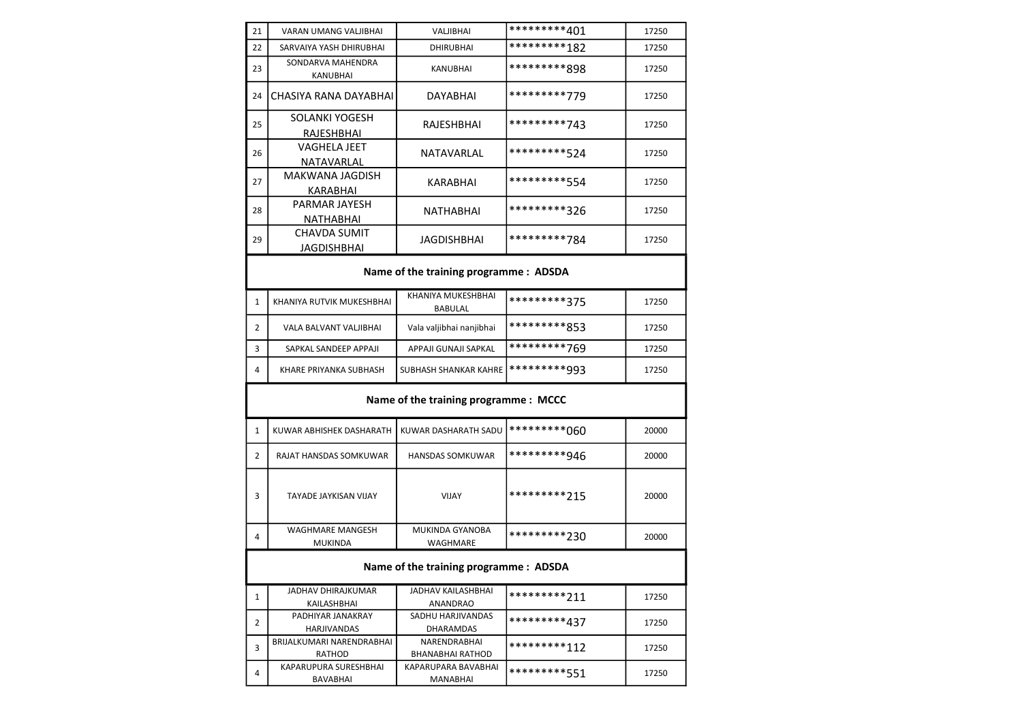| 21                                     | VARAN UMANG VALJIBHAI                     | VALJIBHAI                               | *********401 | 17250 |  |  |
|----------------------------------------|-------------------------------------------|-----------------------------------------|--------------|-------|--|--|
| 22                                     | SARVAIYA YASH DHIRUBHAI                   | <b>DHIRUBHAI</b>                        | *********182 | 17250 |  |  |
| 23                                     | SONDARVA MAHENDRA<br>KANUBHAI             | <b>KANUBHAI</b>                         | *********898 | 17250 |  |  |
| 24                                     | CHASIYA RANA DAYABHAI                     | DAYABHAI                                | *********779 | 17250 |  |  |
| 25                                     | SOLANKI YOGESH<br>RAJESHBHAI              | RAJESHBHAI                              | *********743 | 17250 |  |  |
| 26                                     | <b>VAGHELA JEET</b><br>NATAVARLAL         | NATAVARLAL                              | *********524 | 17250 |  |  |
| 27                                     | MAKWANA JAGDISH<br>KARABHAI               | KARABHAI                                | *********554 | 17250 |  |  |
| 28                                     | PARMAR JAYESH<br>NATHABHAI                | NATHABHAI                               | *********326 | 17250 |  |  |
| 29                                     | <b>CHAVDA SUMIT</b><br><b>JAGDISHBHAI</b> | JAGDISHBHAI                             | *********784 | 17250 |  |  |
| Name of the training programme : ADSDA |                                           |                                         |              |       |  |  |
| $\mathbf{1}$                           | KHANIYA RUTVIK MUKESHBHAI                 | KHANIYA MUKESHBHAI<br><b>BABULAL</b>    | *********375 | 17250 |  |  |
| 2                                      | VALA BALVANT VALJIBHAI                    | Vala valjibhai nanjibhai                | *********853 | 17250 |  |  |
| 3                                      | SAPKAL SANDEEP APPAJI                     | APPAJI GUNAJI SAPKAL                    | *********769 | 17250 |  |  |
| 4                                      | KHARE PRIYANKA SUBHASH                    | SUBHASH SHANKAR KAHRE                   | *********993 | 17250 |  |  |
|                                        | Name of the training programme : MCCC     |                                         |              |       |  |  |
| 1                                      | KUWAR ABHISHEK DASHARATH                  | KUWAR DASHARATH SADU                    | *********060 | 20000 |  |  |
| 2                                      | RAJAT HANSDAS SOMKUWAR                    | <b>HANSDAS SOMKUWAR</b>                 | *********946 | 20000 |  |  |
| 3                                      | <b>TAYADE JAYKISAN VIJAY</b>              | <b>VIJAY</b>                            | *********215 | 20000 |  |  |
| 4                                      | WAGHMARE MANGESH<br><b>MUKINDA</b>        | <b>MUKINDA GYANOBA</b><br>WAGHMARE      | *********230 | 20000 |  |  |
| Name of the training programme: ADSDA  |                                           |                                         |              |       |  |  |
| $\mathbf{1}$                           | <b>JADHAV DHIRAJKUMAR</b><br>KAILASHBHAI  | JADHAV KAILASHBHAI<br>ANANDRAO          | *********211 | 17250 |  |  |
| $\overline{2}$                         | PADHIYAR JANAKRAY<br>HARJIVANDAS          | SADHU HARJIVANDAS<br>DHARAMDAS          | *********437 | 17250 |  |  |
| 3                                      | BRIJALKUMARI NARENDRABHAI<br>RATHOD       | NARENDRABHAI<br><b>BHANABHAI RATHOD</b> | *********112 | 17250 |  |  |
|                                        | KAPARUPURA SURESHBHAI                     | KAPARUPARA BAVABHAI                     | *********551 |       |  |  |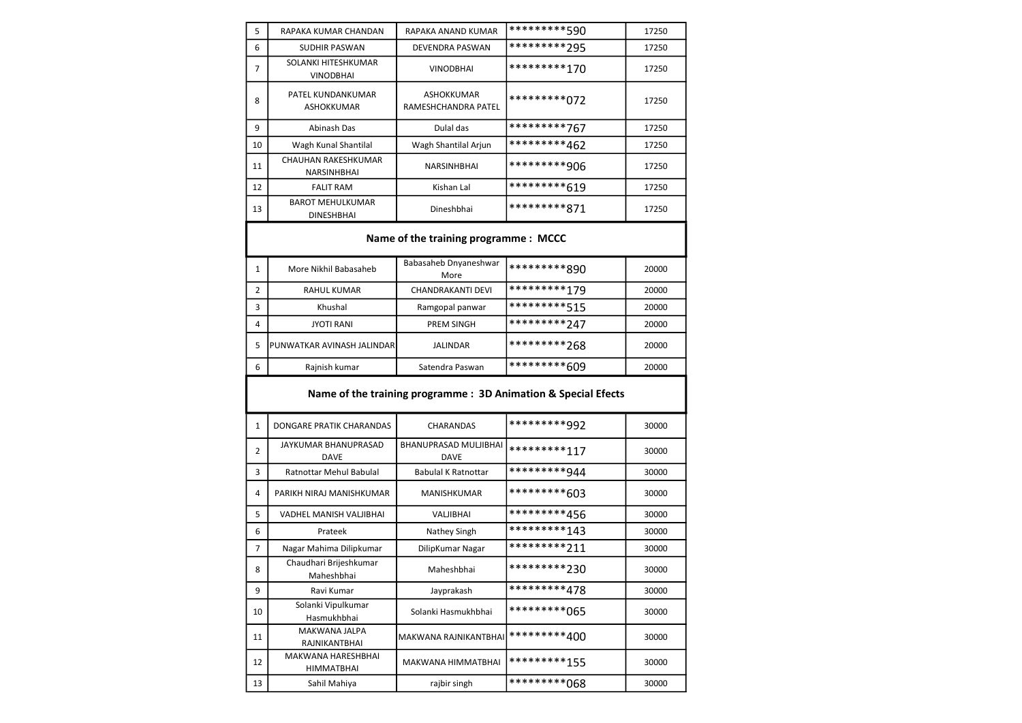| 5  | RAPAKA KUMAR CHANDAN                         | RAPAKA ANAND KUMAR                    | *********590                                                   | 17250 |
|----|----------------------------------------------|---------------------------------------|----------------------------------------------------------------|-------|
| 6  | <b>SUDHIR PASWAN</b>                         | DEVENDRA PASWAN                       | *********295                                                   | 17250 |
| 7  | SOLANKI HITESHKUMAR<br><b>VINODBHAI</b>      | <b>VINODBHAI</b>                      | *********170                                                   | 17250 |
| 8  | PATEL KUNDANKUMAR<br>ASHOKKUMAR              | ASHOKKUMAR<br>RAMESHCHANDRA PATEL     | *********072                                                   | 17250 |
| 9  | Abinash Das                                  | Dulal das                             | *********767                                                   | 17250 |
| 10 | Wagh Kunal Shantilal                         | Wagh Shantilal Arjun                  | *********462                                                   | 17250 |
| 11 | CHAUHAN RAKESHKUMAR<br>NARSINHBHAI           | <b>NARSINHBHAI</b>                    | *********906                                                   | 17250 |
| 12 | <b>FALIT RAM</b>                             | Kishan Lal                            | *********619                                                   | 17250 |
| 13 | <b>BAROT MEHULKUMAR</b><br><b>DINESHBHAI</b> | Dineshbhai                            | *********871                                                   | 17250 |
|    |                                              | Name of the training programme : MCCC |                                                                |       |
| 1  | More Nikhil Babasaheb                        | Babasaheb Dnyaneshwar<br>More         | *********890                                                   | 20000 |
| 2  | <b>RAHUL KUMAR</b>                           | <b>CHANDRAKANTI DEVI</b>              | *********179                                                   | 20000 |
| 3  | Khushal                                      | Ramgopal panwar                       | *********515                                                   | 20000 |
| 4  | <b>JYOTI RANI</b>                            | <b>PREM SINGH</b>                     | *********247                                                   | 20000 |
| 5  | PUNWATKAR AVINASH JALINDAR                   | <b>JALINDAR</b>                       | *********268                                                   | 20000 |
| 6  | Rajnish kumar                                | Satendra Paswan                       | *********609                                                   | 20000 |
|    |                                              |                                       | Name of the training programme : 3D Animation & Special Efects |       |
| 1  | DONGARE PRATIK CHARANDAS                     | CHARANDAS                             | *********992                                                   | 30000 |
| 2  | JAYKUMAR BHANUPRASAD<br><b>DAVE</b>          | BHANUPRASAD MULJIBHAI<br><b>DAVE</b>  | *********117                                                   | 30000 |
| 3  | <b>Ratnottar Mehul Babulal</b>               | <b>Babulal K Ratnottar</b>            | *********944                                                   | 30000 |
| 4  | PARIKH NIRAJ MANISHKUMAR                     | MANISHKUMAR                           | *********603                                                   | 30000 |
| 5  | VADHEL MANISH VALJIBHAI                      | VALJIBHAI                             | *********456                                                   | 30000 |
| 6  | Prateek                                      | Nathey Singh                          | *********143                                                   | 30000 |
| 7  | Nagar Mahima Dilipkumar                      | DilipKumar Nagar                      | *********211                                                   | 30000 |
| 8  | Chaudhari Brijeshkumar<br>Maheshbhai         | Maheshbhai                            | *********230                                                   | 30000 |
| 9  | Ravi Kumar                                   | Jayprakash                            | *********478                                                   | 30000 |
| 10 | Solanki Vipulkumar<br>Hasmukhbhai            | Solanki Hasmukhbhai                   | *********065                                                   | 30000 |
| 11 | MAKWANA JALPA<br>RAJNIKANTBHAI               | MAKWANA RAJNIKANTBHAI                 | *********400                                                   | 30000 |
| 12 | MAKWANA HARESHBHAI<br><b>HIMMATBHAI</b>      | MAKWANA HIMMATBHAI                    | *********155                                                   | 30000 |

13 Sahil Mahiya rajbir singh \*\*\*\*\*\*\*\*\*068 30000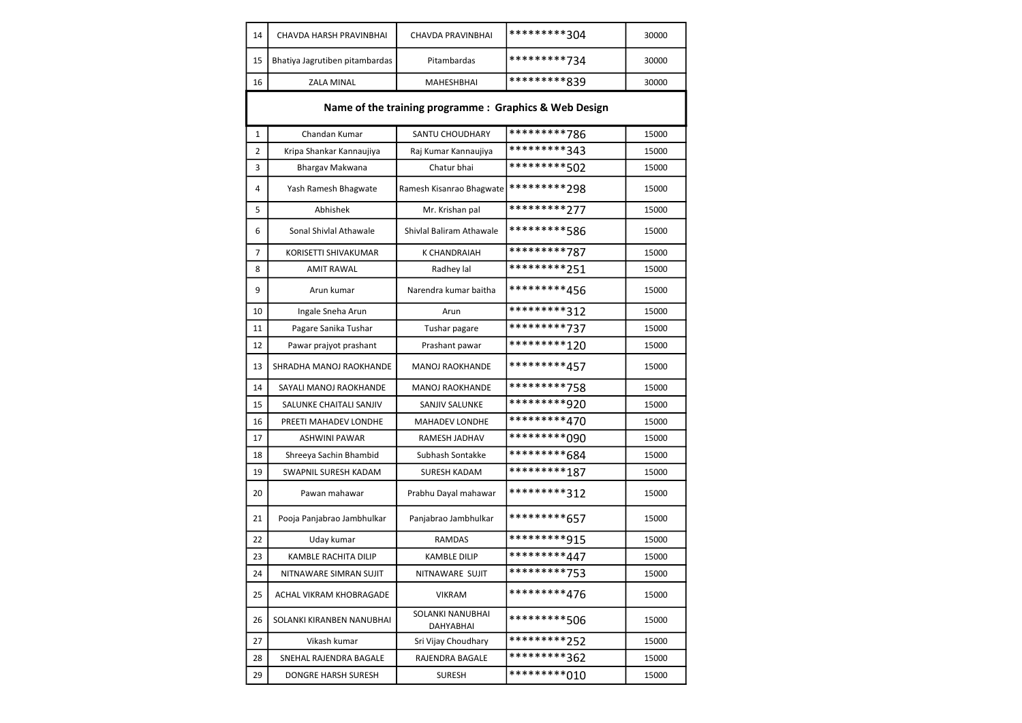| 14           | CHAVDA HARSH PRAVINBHAI                                | CHAVDA PRAVINBHAI             | *********304 | 30000 |  |  |
|--------------|--------------------------------------------------------|-------------------------------|--------------|-------|--|--|
| 15           | Bhatiya Jagrutiben pitambardas                         | Pitambardas                   | *********734 | 30000 |  |  |
| 16           | <b>ZALA MINAL</b>                                      | MAHESHBHAI                    | *********839 | 30000 |  |  |
|              | Name of the training programme : Graphics & Web Design |                               |              |       |  |  |
| $\mathbf{1}$ | Chandan Kumar                                          | SANTU CHOUDHARY               | *********786 | 15000 |  |  |
| 2            | Kripa Shankar Kannaujiya                               | Raj Kumar Kannaujiya          | *********343 | 15000 |  |  |
| 3            | Bhargav Makwana                                        | Chatur bhai                   | *********502 | 15000 |  |  |
| 4            | Yash Ramesh Bhagwate                                   | Ramesh Kisanrao Bhagwate      | *********298 | 15000 |  |  |
| 5            | Abhishek                                               | Mr. Krishan pal               | *********277 | 15000 |  |  |
| 6            | Sonal Shivlal Athawale                                 | Shivlal Baliram Athawale      | *********586 | 15000 |  |  |
| 7            | KORISETTI SHIVAKUMAR                                   | <b>K CHANDRAIAH</b>           | *********787 | 15000 |  |  |
| 8            | <b>AMIT RAWAL</b>                                      | Radhey lal                    | *********251 | 15000 |  |  |
| 9            | Arun kumar                                             | Narendra kumar baitha         | *********456 | 15000 |  |  |
| 10           | Ingale Sneha Arun                                      | Arun                          | *********312 | 15000 |  |  |
| 11           | Pagare Sanika Tushar                                   | Tushar pagare                 | *********737 | 15000 |  |  |
| 12           | Pawar prajyot prashant                                 | Prashant pawar                | *********120 | 15000 |  |  |
| 13           | SHRADHA MANOJ RAOKHANDE                                | <b>MANOJ RAOKHANDE</b>        | *********457 | 15000 |  |  |
| 14           | SAYALI MANOJ RAOKHANDE                                 | <b>MANOJ RAOKHANDE</b>        | *********758 | 15000 |  |  |
| 15           | SALUNKE CHAITALI SANJIV                                | SANJIV SALUNKE                | *********920 | 15000 |  |  |
| 16           | PREETI MAHADEV LONDHE                                  | <b>MAHADEV LONDHE</b>         | *********470 | 15000 |  |  |
| 17           | <b>ASHWINI PAWAR</b>                                   | RAMESH JADHAV                 | *********090 | 15000 |  |  |
| 18           | Shreeya Sachin Bhambid                                 | Subhash Sontakke              | *********684 | 15000 |  |  |
| 19           | SWAPNIL SURESH KADAM                                   | <b>SURESH KADAM</b>           | *********187 | 15000 |  |  |
| 20           | Pawan mahawar                                          | Prabhu Dayal mahawar          | *********312 | 15000 |  |  |
| 21           | Pooja Panjabrao Jambhulkar                             | Panjabrao Jambhulkar          | *********657 | 15000 |  |  |
| 22           | Uday kumar                                             | <b>RAMDAS</b>                 | *********915 | 15000 |  |  |
| 23           | <b>KAMBLE RACHITA DILIP</b>                            | <b>KAMBLE DILIP</b>           | *********447 | 15000 |  |  |
| 24           | NITNAWARE SIMRAN SUJIT                                 | NITNAWARE SUJIT               | *********753 | 15000 |  |  |
| 25           | ACHAL VIKRAM KHOBRAGADE                                | <b>VIKRAM</b>                 | *********476 | 15000 |  |  |
| 26           | SOLANKI KIRANBEN NANUBHAI                              | SOLANKI NANUBHAI<br>DAHYABHAI | *********506 | 15000 |  |  |
| 27           | Vikash kumar                                           | Sri Vijay Choudhary           | *********252 | 15000 |  |  |
| 28           | SNEHAL RAJENDRA BAGALE                                 | RAJENDRA BAGALE               | *********362 | 15000 |  |  |
| 29           | DONGRE HARSH SURESH                                    | <b>SURESH</b>                 | *********010 | 15000 |  |  |